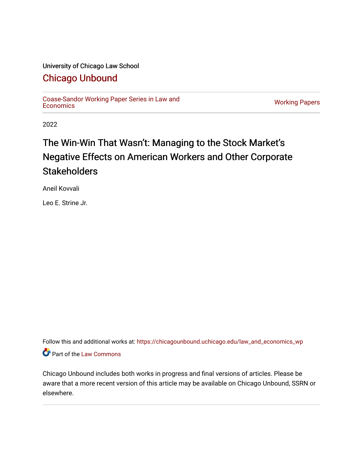#### University of Chicago Law School

#### [Chicago Unbound](https://chicagounbound.uchicago.edu/)

[Coase-Sandor Working Paper Series in Law and](https://chicagounbound.uchicago.edu/law_and_economics_wp) [Economics](https://chicagounbound.uchicago.edu/law_and_economics_wp) [Working Papers](https://chicagounbound.uchicago.edu/working_papers) 

2022

## The Win-Win That Wasn't: Managing to the Stock Market's Negative Effects on American Workers and Other Corporate **Stakeholders**

Aneil Kovvali

Leo E. Strine Jr.

Follow this and additional works at: [https://chicagounbound.uchicago.edu/law\\_and\\_economics\\_wp](https://chicagounbound.uchicago.edu/law_and_economics_wp?utm_source=chicagounbound.uchicago.edu%2Flaw_and_economics_wp%2F7&utm_medium=PDF&utm_campaign=PDFCoverPages)  Part of the [Law Commons](http://network.bepress.com/hgg/discipline/578?utm_source=chicagounbound.uchicago.edu%2Flaw_and_economics_wp%2F7&utm_medium=PDF&utm_campaign=PDFCoverPages)

Chicago Unbound includes both works in progress and final versions of articles. Please be aware that a more recent version of this article may be available on Chicago Unbound, SSRN or elsewhere.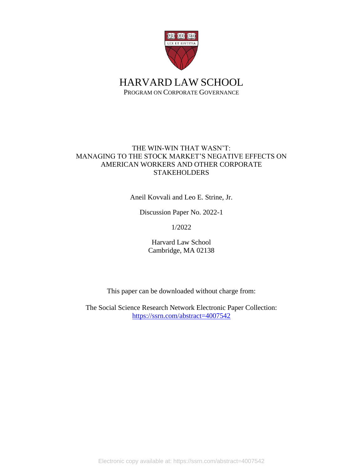

HARVARD LAW SCHOOL PROGRAM ON CORPORATE GOVERNANCE

#### THE WIN-WIN THAT WASN'T: MANAGING TO THE STOCK MARKET'S NEGATIVE EFFECTS ON AMERICAN WORKERS AND OTHER CORPORATE **STAKEHOLDERS**

Aneil Kovvali and Leo E. Strine, Jr.

Discussion Paper No. 2022-1

1/2022

Harvard Law School Cambridge, MA 02138

This paper can be downloaded without charge from:

The Social Science Research Network Electronic Paper Collection: [https://ssrn.com/abstract=4007542](https://papers.ssrn.com/sol3/papers.cfm?abstract_id=4007542)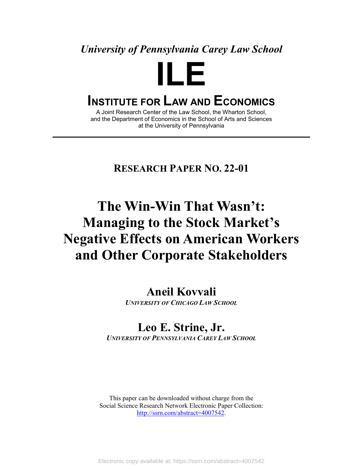### *University of Pennsylvania Carey Law School*

# **ILE**

## **INSTITUTE FOR LAW AND ECONOMICS**

A Joint Research Center of the Law School, the Wharton School, and the Department of Economics in the School of Arts and Sciences at the University of Pennsylvania

#### **RESEARCH PAPER NO. 22-01**

# **The Win-Win That Wasn't: Managing to the Stock Market's Negative Effects on American Workers and Other Corporate Stakeholders**

**Aneil Kovvali** *UNIVERSITY OF CHICAGO LAW SCHOOL*

# **Leo E. Strine, Jr.**

*UNIVERSITY OF PENNSYLVANIA CAREY LAW SCHOOL*

This paper can be downloaded without charge from the Social Science Research Network Electronic Paper Collection: [http://ssrn.com/abstract=4007542.](http://ssrn.com/abstract=4007542)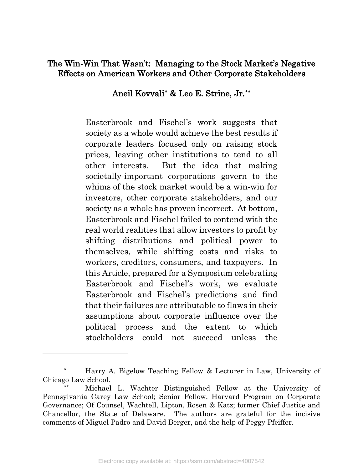#### The Win-Win That Wasn't: Managing to the Stock Market's Negative Effects on American Workers and Other Corporate Stakeholders

#### Aneil Kovvali[\\*](#page-3-0) & Leo E. Strine, Jr.[\\*\\*](#page-3-1)

Easterbrook and Fischel's work suggests that society as a whole would achieve the best results if corporate leaders focused only on raising stock prices, leaving other institutions to tend to all other interests. But the idea that making societally-important corporations govern to the whims of the stock market would be a win-win for investors, other corporate stakeholders, and our society as a whole has proven incorrect. At bottom, Easterbrook and Fischel failed to contend with the real world realities that allow investors to profit by shifting distributions and political power to themselves, while shifting costs and risks to workers, creditors, consumers, and taxpayers. In this Article, prepared for a Symposium celebrating Easterbrook and Fischel's work, we evaluate Easterbrook and Fischel's predictions and find that their failures are attributable to flaws in their assumptions about corporate influence over the political process and the extent to which stockholders could not succeed unless the

<span id="page-3-0"></span>Harry A. Bigelow Teaching Fellow & Lecturer in Law, University of Chicago Law School.

<span id="page-3-1"></span>Michael L. Wachter Distinguished Fellow at the University of Pennsylvania Carey Law School; Senior Fellow, Harvard Program on Corporate Governance; Of Counsel, Wachtell, Lipton, Rosen & Katz; former Chief Justice and Chancellor, the State of Delaware. The authors are grateful for the incisive comments of Miguel Padro and David Berger, and the help of Peggy Pfeiffer.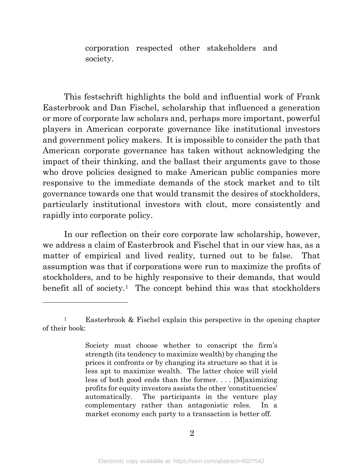corporation respected other stakeholders and society.

This festschrift highlights the bold and influential work of Frank Easterbrook and Dan Fischel, scholarship that influenced a generation or more of corporate law scholars and, perhaps more important, powerful players in American corporate governance like institutional investors and government policy makers. It is impossible to consider the path that American corporate governance has taken without acknowledging the impact of their thinking, and the ballast their arguments gave to those who drove policies designed to make American public companies more responsive to the immediate demands of the stock market and to tilt governance towards one that would transmit the desires of stockholders, particularly institutional investors with clout, more consistently and rapidly into corporate policy.

In our reflection on their core corporate law scholarship, however, we address a claim of Easterbrook and Fischel that in our view has, as a matter of empirical and lived reality, turned out to be false. That assumption was that if corporations were run to maximize the profits of stockholders, and to be highly responsive to their demands, that would benefit all of society.<sup>[1](#page-4-0)</sup> The concept behind this was that stockholders

<span id="page-4-0"></span><sup>&</sup>lt;sup>1</sup> Easterbrook & Fischel explain this perspective in the opening chapter of their book:

Society must choose whether to conscript the firm's strength (its tendency to maximize wealth) by changing the prices it confronts or by changing its structure so that it is less apt to maximize wealth. The latter choice will yield less of both good ends than the former. . . . [M]aximizing profits for equity investors assists the other 'constituencies' automatically. The participants in the venture play complementary rather than antagonistic roles. In a market economy each party to a transaction is better off.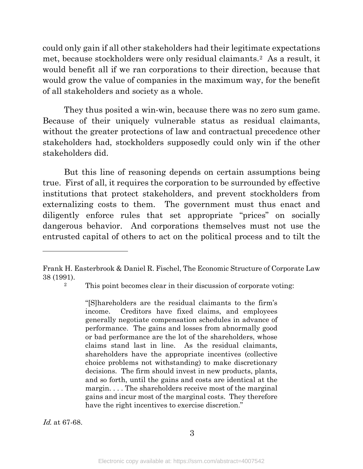could only gain if all other stakeholders had their legitimate expectations met, because stockholders were only residual claimants.[2](#page-5-0) As a result, it would benefit all if we ran corporations to their direction, because that would grow the value of companies in the maximum way, for the benefit of all stakeholders and society as a whole.

They thus posited a win-win, because there was no zero sum game. Because of their uniquely vulnerable status as residual claimants, without the greater protections of law and contractual precedence other stakeholders had, stockholders supposedly could only win if the other stakeholders did.

But this line of reasoning depends on certain assumptions being true. First of all, it requires the corporation to be surrounded by effective institutions that protect stakeholders, and prevent stockholders from externalizing costs to them. The government must thus enact and diligently enforce rules that set appropriate "prices" on socially dangerous behavior. And corporations themselves must not use the entrusted capital of others to act on the political process and to tilt the

l

"[S]hareholders are the residual claimants to the firm's income. Creditors have fixed claims, and employees generally negotiate compensation schedules in advance of performance. The gains and losses from abnormally good or bad performance are the lot of the shareholders, whose claims stand last in line. As the residual claimants, shareholders have the appropriate incentives (collective choice problems not withstanding) to make discretionary decisions. The firm should invest in new products, plants, and so forth, until the gains and costs are identical at the margin. . . . The shareholders receive most of the marginal gains and incur most of the marginal costs. They therefore have the right incentives to exercise discretion."

Id. at 67-68.

<span id="page-5-0"></span>Frank H. Easterbrook & Daniel R. Fischel, The Economic Structure of Corporate Law 38 (1991).

<sup>2</sup> This point becomes clear in their discussion of corporate voting: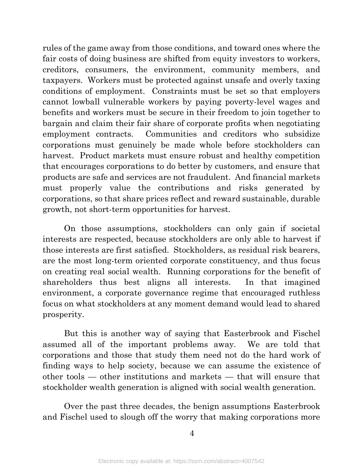rules of the game away from those conditions, and toward ones where the fair costs of doing business are shifted from equity investors to workers, creditors, consumers, the environment, community members, and taxpayers. Workers must be protected against unsafe and overly taxing conditions of employment. Constraints must be set so that employers cannot lowball vulnerable workers by paying poverty-level wages and benefits and workers must be secure in their freedom to join together to bargain and claim their fair share of corporate profits when negotiating employment contracts. Communities and creditors who subsidize corporations must genuinely be made whole before stockholders can harvest. Product markets must ensure robust and healthy competition that encourages corporations to do better by customers, and ensure that products are safe and services are not fraudulent. And financial markets must properly value the contributions and risks generated by corporations, so that share prices reflect and reward sustainable, durable growth, not short-term opportunities for harvest.

On those assumptions, stockholders can only gain if societal interests are respected, because stockholders are only able to harvest if those interests are first satisfied. Stockholders, as residual risk bearers, are the most long-term oriented corporate constituency, and thus focus on creating real social wealth. Running corporations for the benefit of shareholders thus best aligns all interests. In that imagined environment, a corporate governance regime that encouraged ruthless focus on what stockholders at any moment demand would lead to shared prosperity.

But this is another way of saying that Easterbrook and Fischel assumed all of the important problems away. We are told that corporations and those that study them need not do the hard work of finding ways to help society, because we can assume the existence of other tools — other institutions and markets — that will ensure that stockholder wealth generation is aligned with social wealth generation.

Over the past three decades, the benign assumptions Easterbrook and Fischel used to slough off the worry that making corporations more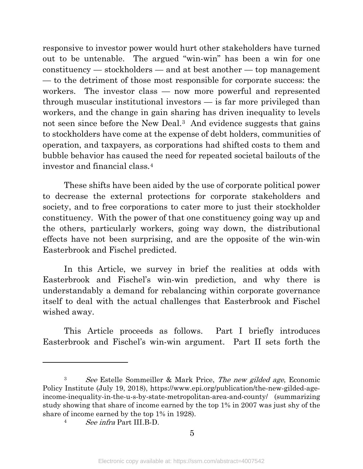responsive to investor power would hurt other stakeholders have turned out to be untenable. The argued "win-win" has been a win for one constituency — stockholders — and at best another — top management — to the detriment of those most responsible for corporate success: the workers. The investor class — now more powerful and represented through muscular institutional investors — is far more privileged than workers, and the change in gain sharing has driven inequality to levels not seen since before the New Deal.<sup>[3](#page-7-0)</sup> And evidence suggests that gains to stockholders have come at the expense of debt holders, communities of operation, and taxpayers, as corporations had shifted costs to them and bubble behavior has caused the need for repeated societal bailouts of the investor and financial class.[4](#page-7-1)

These shifts have been aided by the use of corporate political power to decrease the external protections for corporate stakeholders and society, and to free corporations to cater more to just their stockholder constituency. With the power of that one constituency going way up and the others, particularly workers, going way down, the distributional effects have not been surprising, and are the opposite of the win-win Easterbrook and Fischel predicted.

In this Article, we survey in brief the realities at odds with Easterbrook and Fischel's win-win prediction, and why there is understandably a demand for rebalancing within corporate governance itself to deal with the actual challenges that Easterbrook and Fischel wished away.

This Article proceeds as follows. Part I briefly introduces Easterbrook and Fischel's win-win argument. Part II sets forth the

<span id="page-7-1"></span><span id="page-7-0"></span><sup>3</sup> See Estelle Sommeiller & Mark Price, The new gilded age, Economic Policy Institute (July 19, 2018), https://www.epi.org/publication/the-new-gilded-ageincome-inequality-in-the-u-s-by-state-metropolitan-area-and-county/ (summarizing study showing that share of income earned by the top 1% in 2007 was just shy of the share of income earned by the top 1% in 1928).

<sup>4</sup> See infra Part III.B-D.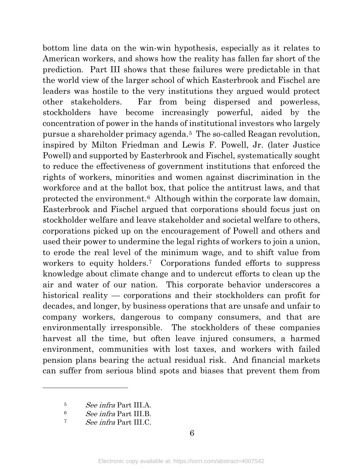bottom line data on the win-win hypothesis, especially as it relates to American workers, and shows how the reality has fallen far short of the prediction. Part III shows that these failures were predictable in that the world view of the larger school of which Easterbrook and Fischel are leaders was hostile to the very institutions they argued would protect other stakeholders. Far from being dispersed and powerless, stockholders have become increasingly powerful, aided by the concentration of power in the hands of institutional investors who largely pursue a shareholder primacy agenda.[5](#page-8-0) The so-called Reagan revolution, inspired by Milton Friedman and Lewis F. Powell, Jr. (later Justice Powell) and supported by Easterbrook and Fischel, systematically sought to reduce the effectiveness of government institutions that enforced the rights of workers, minorities and women against discrimination in the workforce and at the ballot box, that police the antitrust laws, and that protected the environment.[6](#page-8-1) Although within the corporate law domain, Easterbrook and Fischel argued that corporations should focus just on stockholder welfare and leave stakeholder and societal welfare to others, corporations picked up on the encouragement of Powell and others and used their power to undermine the legal rights of workers to join a union, to erode the real level of the minimum wage, and to shift value from workers to equity holders.<sup>[7](#page-8-2)</sup> Corporations funded efforts to suppress knowledge about climate change and to undercut efforts to clean up the air and water of our nation. This corporate behavior underscores a historical reality — corporations and their stockholders can profit for decades, and longer, by business operations that are unsafe and unfair to company workers, dangerous to company consumers, and that are environmentally irresponsible. The stockholders of these companies harvest all the time, but often leave injured consumers, a harmed environment, communities with lost taxes, and workers with failed pension plans bearing the actual residual risk. And financial markets can suffer from serious blind spots and biases that prevent them from

<span id="page-8-0"></span><sup>5</sup> See infra Part III.A.

<sup>6</sup> See infra Part III.B.

<span id="page-8-2"></span><span id="page-8-1"></span><sup>7</sup> See infra Part III.C.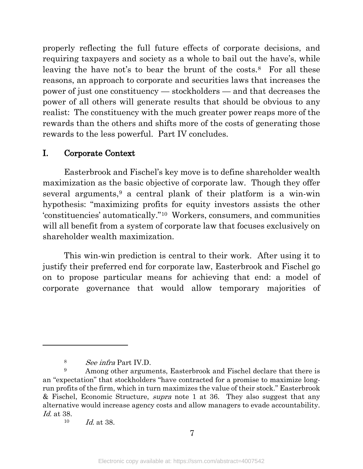properly reflecting the full future effects of corporate decisions, and requiring taxpayers and society as a whole to bail out the have's, while leaving the have not's to bear the brunt of the costs.<sup>[8](#page-9-0)</sup> For all these reasons, an approach to corporate and securities laws that increases the power of just one constituency — stockholders — and that decreases the power of all others will generate results that should be obvious to any realist: The constituency with the much greater power reaps more of the rewards than the others and shifts more of the costs of generating those rewards to the less powerful. Part IV concludes.

#### I. Corporate Context

Easterbrook and Fischel's key move is to define shareholder wealth maximization as the basic objective of corporate law. Though they offer several arguments,<sup>[9](#page-9-1)</sup> a central plank of their platform is a win-win hypothesis: "maximizing profits for equity investors assists the other 'constituencies' automatically."[10](#page-9-2) Workers, consumers, and communities will all benefit from a system of corporate law that focuses exclusively on shareholder wealth maximization.

This win-win prediction is central to their work. After using it to justify their preferred end for corporate law, Easterbrook and Fischel go on to propose particular means for achieving that end: a model of corporate governance that would allow temporary majorities of

<sup>8</sup> See infra Part IV.D.

<span id="page-9-1"></span><span id="page-9-0"></span><sup>&</sup>lt;sup>9</sup> Among other arguments, Easterbrook and Fischel declare that there is an "expectation" that stockholders "have contracted for a promise to maximize longrun profits of the firm, which in turn maximizes the value of their stock." Easterbrook & Fischel, Economic Structure, *supra* note 1 at 36. They also suggest that any alternative would increase agency costs and allow managers to evade accountability. Id. at 38.

<span id="page-9-2"></span><sup>10</sup> Id. at 38.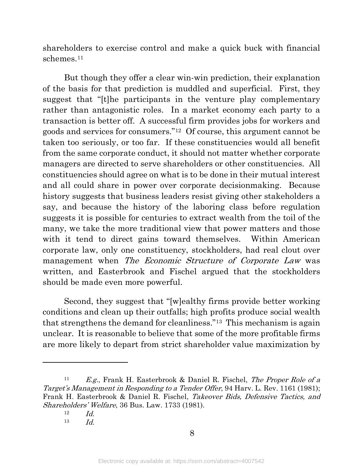shareholders to exercise control and make a quick buck with financial schemes.<sup>[11](#page-10-0)</sup>

But though they offer a clear win-win prediction, their explanation of the basis for that prediction is muddled and superficial. First, they suggest that "[t]he participants in the venture play complementary rather than antagonistic roles. In a market economy each party to a transaction is better off. A successful firm provides jobs for workers and goods and services for consumers."[12](#page-10-1) Of course, this argument cannot be taken too seriously, or too far. If these constituencies would all benefit from the same corporate conduct, it should not matter whether corporate managers are directed to serve shareholders or other constituencies. All constituencies should agree on what is to be done in their mutual interest and all could share in power over corporate decisionmaking. Because history suggests that business leaders resist giving other stakeholders a say, and because the history of the laboring class before regulation suggests it is possible for centuries to extract wealth from the toil of the many, we take the more traditional view that power matters and those with it tend to direct gains toward themselves. Within American corporate law, only one constituency, stockholders, had real clout over management when The Economic Structure of Corporate Law was written, and Easterbrook and Fischel argued that the stockholders should be made even more powerful.

Second, they suggest that "[w]ealthy firms provide better working conditions and clean up their outfalls; high profits produce social wealth that strengthens the demand for cleanliness.["13](#page-10-2) This mechanism is again unclear. It is reasonable to believe that some of the more profitable firms are more likely to depart from strict shareholder value maximization by

<span id="page-10-2"></span><span id="page-10-1"></span><span id="page-10-0"></span><sup>&</sup>lt;sup>11</sup> E.g., Frank H. Easterbrook & Daniel R. Fischel, *The Proper Role of a* Target's Management in Responding to a Tender Offer, 94 Harv. L. Rev. 1161 (1981); Frank H. Easterbrook & Daniel R. Fischel, Takeover Bids, Defensive Tactics, and Shareholders' Welfare, 36 Bus. Law. 1733 (1981).

 $12$  *Id.* 

<sup>13</sup>  $Id$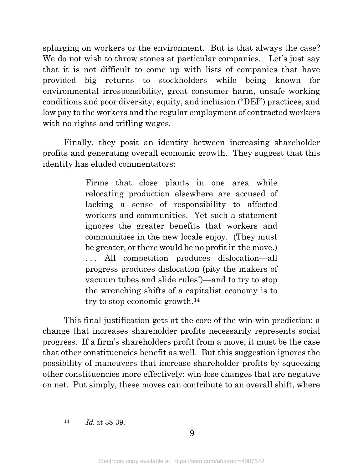splurging on workers or the environment. But is that always the case? We do not wish to throw stones at particular companies. Let's just say that it is not difficult to come up with lists of companies that have provided big returns to stockholders while being known for environmental irresponsibility, great consumer harm, unsafe working conditions and poor diversity, equity, and inclusion ("DEI") practices, and low pay to the workers and the regular employment of contracted workers with no rights and trifling wages.

Finally, they posit an identity between increasing shareholder profits and generating overall economic growth. They suggest that this identity has eluded commentators:

> Firms that close plants in one area while relocating production elsewhere are accused of lacking a sense of responsibility to affected workers and communities. Yet such a statement ignores the greater benefits that workers and communities in the new locale enjoy. (They must be greater, or there would be no profit in the move.) . . . All competition produces dislocation—all progress produces dislocation (pity the makers of vacuum tubes and slide rules!)—and to try to stop the wrenching shifts of a capitalist economy is to try to stop economic growth.[14](#page-11-0)

 This final justification gets at the core of the win-win prediction: a change that increases shareholder profits necessarily represents social progress. If a firm's shareholders profit from a move, it must be the case that other constituencies benefit as well. But this suggestion ignores the possibility of maneuvers that increase shareholder profits by squeezing other constituencies more effectively: win-lose changes that are negative on net. Put simply, these moves can contribute to an overall shift, where

<span id="page-11-0"></span> $14$  *Id.* at 38-39.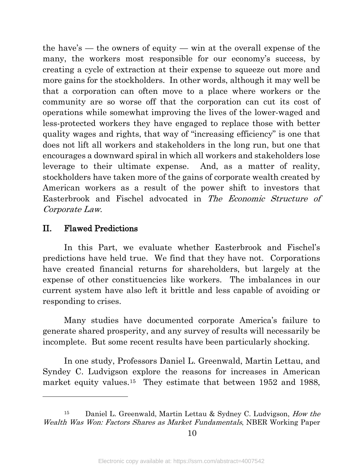the have's — the owners of equity — win at the overall expense of the many, the workers most responsible for our economy's success, by creating a cycle of extraction at their expense to squeeze out more and more gains for the stockholders. In other words, although it may well be that a corporation can often move to a place where workers or the community are so worse off that the corporation can cut its cost of operations while somewhat improving the lives of the lower-waged and less-protected workers they have engaged to replace those with better quality wages and rights, that way of "increasing efficiency" is one that does not lift all workers and stakeholders in the long run, but one that encourages a downward spiral in which all workers and stakeholders lose leverage to their ultimate expense. And, as a matter of reality, stockholders have taken more of the gains of corporate wealth created by American workers as a result of the power shift to investors that Easterbrook and Fischel advocated in The Economic Structure of Corporate Law.

#### II. Flawed Predictions

l

In this Part, we evaluate whether Easterbrook and Fischel's predictions have held true. We find that they have not. Corporations have created financial returns for shareholders, but largely at the expense of other constituencies like workers. The imbalances in our current system have also left it brittle and less capable of avoiding or responding to crises.

Many studies have documented corporate America's failure to generate shared prosperity, and any survey of results will necessarily be incomplete. But some recent results have been particularly shocking.

In one study, Professors Daniel L. Greenwald, Martin Lettau, and Syndey C. Ludvigson explore the reasons for increases in American market equity values.<sup>15</sup> They estimate that between 1952 and 1988,

<span id="page-12-0"></span><sup>15</sup> Daniel L. Greenwald, Martin Lettau & Sydney C. Ludvigson, How the Wealth Was Won: Factors Shares as Market Fundamentals, NBER Working Paper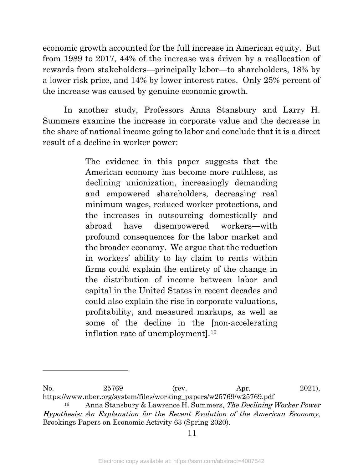economic growth accounted for the full increase in American equity. But from 1989 to 2017, 44% of the increase was driven by a reallocation of rewards from stakeholders—principally labor—to shareholders, 18% by a lower risk price, and 14% by lower interest rates. Only 25% percent of the increase was caused by genuine economic growth.

In another study, Professors Anna Stansbury and Larry H. Summers examine the increase in corporate value and the decrease in the share of national income going to labor and conclude that it is a direct result of a decline in worker power:

> The evidence in this paper suggests that the American economy has become more ruthless, as declining unionization, increasingly demanding and empowered shareholders, decreasing real minimum wages, reduced worker protections, and the increases in outsourcing domestically and abroad have disempowered workers—with profound consequences for the labor market and the broader economy. We argue that the reduction in workers' ability to lay claim to rents within firms could explain the entirety of the change in the distribution of income between labor and capital in the United States in recent decades and could also explain the rise in corporate valuations, profitability, and measured markups, as well as some of the decline in the [non-accelerating inflation rate of unemployment].[16](#page-13-0)

No. 25769 (rev. Apr. 2021), https://www.nber.org/system/files/working\_papers/w25769/w25769.pdf

<span id="page-13-0"></span>Anna Stansbury & Lawrence H. Summers, The Declining Worker Power Hypothesis: An Explanation for the Recent Evolution of the American Economy, Brookings Papers on Economic Activity 63 (Spring 2020).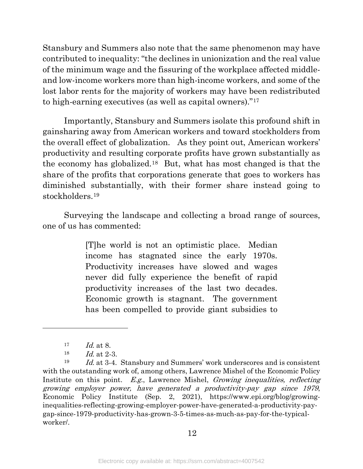Stansbury and Summers also note that the same phenomenon may have contributed to inequality: "the declines in unionization and the real value of the minimum wage and the fissuring of the workplace affected middleand low-income workers more than high-income workers, and some of the lost labor rents for the majority of workers may have been redistributed to high-earning executives (as well as capital owners)."[17](#page-14-0)

Importantly, Stansbury and Summers isolate this profound shift in gainsharing away from American workers and toward stockholders from the overall effect of globalization. As they point out, American workers' productivity and resulting corporate profits have grown substantially as the economy has globalized.[18](#page-14-1) But, what has most changed is that the share of the profits that corporations generate that goes to workers has diminished substantially, with their former share instead going to stockholders.[19](#page-14-2)

Surveying the landscape and collecting a broad range of sources, one of us has commented:

> [T]he world is not an optimistic place. Median income has stagnated since the early 1970s. Productivity increases have slowed and wages never did fully experience the benefit of rapid productivity increases of the last two decades. Economic growth is stagnant. The government has been compelled to provide giant subsidies to

 $\overline{a}$ 

<span id="page-14-2"></span><span id="page-14-1"></span><span id="page-14-0"></span> $19$  Id. at 3-4. Stansbury and Summers' work underscores and is consistent with the outstanding work of, among others, Lawrence Mishel of the Economic Policy Institute on this point. E.g., Lawrence Mishel, Growing inequalities, reflecting growing employer power, have generated a productivity-pay gap since 1979, Economic Policy Institute (Sep. 2, 2021), https://www.epi.org/blog/growinginequalities-reflecting-growing-employer-power-have-generated-a-productivity-paygap-since-1979-productivity-has-grown-3-5-times-as-much-as-pay-for-the-typicalworker/.

12

 $17 \t\t Id. at 8.$ 

 $18$  *Id.* at  $2-3$ .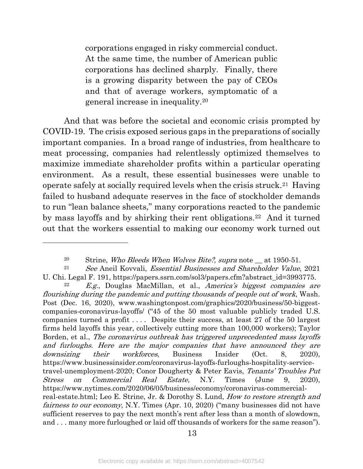corporations engaged in risky commercial conduct. At the same time, the number of American public corporations has declined sharply. Finally, there is a growing disparity between the pay of CEOs and that of average workers, symptomatic of a general increase in inequality.[20](#page-15-0)

And that was before the societal and economic crisis prompted by COVID-19. The crisis exposed serious gaps in the preparations of socially important companies. In a broad range of industries, from healthcare to meat processing, companies had relentlessly optimized themselves to maximize immediate shareholder profits within a particular operating environment. As a result, these essential businesses were unable to operate safely at socially required levels when the crisis struck.[21](#page-15-1) Having failed to husband adequate reserves in the face of stockholder demands to run "lean balance sheets," many corporations reacted to the pandemic by mass layoffs and by shirking their rent obligations.<sup>[22](#page-15-2)</sup> And it turned out that the workers essential to making our economy work turned out

 $\overline{a}$ 

<span id="page-15-2"></span>E.g., Douglas MacMillan, et al., America's biggest companies are flourishing during the pandemic and putting thousands of people out of work, Wash. Post (Dec. 16, 2020), www.washingtonpost.com/graphics/2020/business/50-biggestcompanies-coronavirus-layoffs/ ("45 of the 50 most valuable publicly traded U.S. companies turned a profit . . . . Despite their success, at least 27 of the 50 largest firms held layoffs this year, collectively cutting more than 100,000 workers); Taylor Borden, et al., The coronavirus outbreak has triggered unprecedented mass layoffs and furloughs. Here are the major companies that have announced they are downsizing their workforces, Business Insider (Oct. 8, 2020), https://www.businessinsider.com/coronavirus-layoffs-furloughs-hospitality-servicetravel-unemployment-2020; Conor Dougherty & Peter Eavis, Tenants' Troubles Put Stress on Commercial Real Estate, N.Y. Times (June 9, 2020), https://www.nytimes.com/2020/06/05/business/economy/coronavirus-commercialreal-estate.html; Leo E. Strine, Jr. & Dorothy S. Lund, *How to restore strength and* fairness to our economy, N.Y. Times (Apr. 10, 2020) ("many businesses did not have sufficient reserves to pay the next month's rent after less than a month of slowdown, and . . . many more furloughed or laid off thousands of workers for the same reason").

13

<sup>&</sup>lt;sup>20</sup> Strine, *Who Bleeds When Wolves Bite?*, *supra* note  $\equiv$  at 1950-51.

<span id="page-15-1"></span><span id="page-15-0"></span> $21$  See Aneil Kovvali, *Essential Businesses and Shareholder Value*, 2021 U. Chi. Legal F. 191, https://papers.ssrn.com/sol3/papers.cfm?abstract\_id=3993775.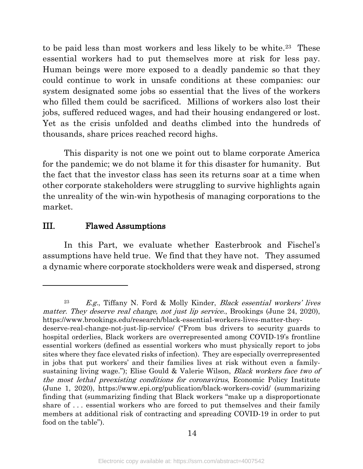to be paid less than most workers and less likely to be white.[23](#page-16-0) These essential workers had to put themselves more at risk for less pay. Human beings were more exposed to a deadly pandemic so that they could continue to work in unsafe conditions at these companies: our system designated some jobs so essential that the lives of the workers who filled them could be sacrificed. Millions of workers also lost their jobs, suffered reduced wages, and had their housing endangered or lost. Yet as the crisis unfolded and deaths climbed into the hundreds of thousands, share prices reached record highs.

This disparity is not one we point out to blame corporate America for the pandemic; we do not blame it for this disaster for humanity. But the fact that the investor class has seen its returns soar at a time when other corporate stakeholders were struggling to survive highlights again the unreality of the win-win hypothesis of managing corporations to the market.

#### III. Flawed Assumptions

 $\overline{a}$ 

In this Part, we evaluate whether Easterbrook and Fischel's assumptions have held true. We find that they have not. They assumed a dynamic where corporate stockholders were weak and dispersed, strong

<span id="page-16-0"></span> $23$  E.g., Tiffany N. Ford & Molly Kinder, Black essential workers' lives matter. They deserve real change, not just lip service., Brookings (June 24, 2020), https://www.brookings.edu/research/black-essential-workers-lives-matter-theydeserve-real-change-not-just-lip-service/ ("From bus drivers to security guards to hospital orderlies, Black workers are overrepresented among COVID-19's frontline essential workers (defined as essential workers who must physically report to jobs sites where they face elevated risks of infection). They are especially overrepresented in jobs that put workers' and their families lives at risk without even a familysustaining living wage."); Elise Gould & Valerie Wilson, *Black workers face two of* the most lethal preexisting conditions for coronavirus, Economic Policy Institute (June 1, 2020), https://www.epi.org/publication/black-workers-covid/ (summarizing finding that (summarizing finding that Black workers "make up a disproportionate share of . . . essential workers who are forced to put themselves and their family members at additional risk of contracting and spreading COVID-19 in order to put food on the table").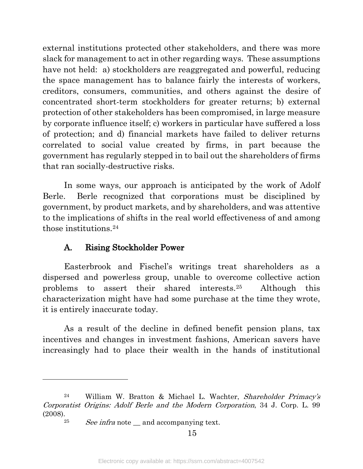external institutions protected other stakeholders, and there was more slack for management to act in other regarding ways. These assumptions have not held: a) stockholders are reaggregated and powerful, reducing the space management has to balance fairly the interests of workers, creditors, consumers, communities, and others against the desire of concentrated short-term stockholders for greater returns; b) external protection of other stakeholders has been compromised, in large measure by corporate influence itself; c) workers in particular have suffered a loss of protection; and d) financial markets have failed to deliver returns correlated to social value created by firms, in part because the government has regularly stepped in to bail out the shareholders of firms that ran socially-destructive risks.

In some ways, our approach is anticipated by the work of Adolf Berle. Berle recognized that corporations must be disciplined by government, by product markets, and by shareholders, and was attentive to the implications of shifts in the real world effectiveness of and among those institutions.[24](#page-17-0)

#### A. Rising Stockholder Power

Easterbrook and Fischel's writings treat shareholders as a dispersed and powerless group, unable to overcome collective action problems to assert their shared interests.[25](#page-17-1) Although this characterization might have had some purchase at the time they wrote, it is entirely inaccurate today.

As a result of the decline in defined benefit pension plans, tax incentives and changes in investment fashions, American savers have increasingly had to place their wealth in the hands of institutional

<span id="page-17-1"></span><span id="page-17-0"></span><sup>24</sup> William W. Bratton & Michael L. Wachter, Shareholder Primacy's Corporatist Origins: Adolf Berle and the Modern Corporation, 34 J. Corp. L. 99 (2008).

<sup>&</sup>lt;sup>25</sup> See infra note \_\_ and accompanying text.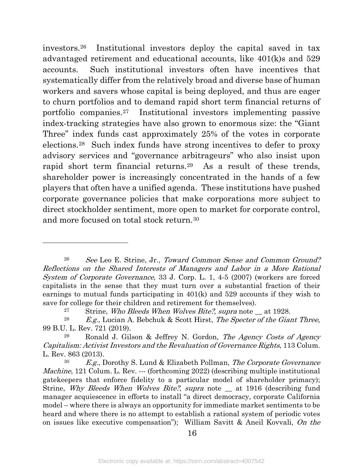investors[.26](#page-18-0) Institutional investors deploy the capital saved in tax advantaged retirement and educational accounts, like 401(k)s and 529 accounts. Such institutional investors often have incentives that systematically differ from the relatively broad and diverse base of human workers and savers whose capital is being deployed, and thus are eager to churn portfolios and to demand rapid short term financial returns of portfolio companies.[27](#page-18-1) Institutional investors implementing passive index-tracking strategies have also grown to enormous size: the "Giant Three" index funds cast approximately 25% of the votes in corporate elections.[28](#page-18-2) Such index funds have strong incentives to defer to proxy advisory services and "governance arbitrageurs" who also insist upon rapid short term financial returns.<sup>29</sup> As a result of these trends, shareholder power is increasingly concentrated in the hands of a few players that often have a unified agenda. These institutions have pushed corporate governance policies that make corporations more subject to direct stockholder sentiment, more open to market for corporate control, and more focused on total stock return.[30](#page-18-4)

<span id="page-18-0"></span><sup>26</sup> See Leo E. Strine, Jr., Toward Common Sense and Common Ground? Reflections on the Shared Interests of Managers and Labor in a More Rational System of Corporate Governance, 33 J. Corp. L. 1, 4-5 (2007) (workers are forced capitalists in the sense that they must turn over a substantial fraction of their earnings to mutual funds participating in 401(k) and 529 accounts if they wish to save for college for their children and retirement for themselves).

<sup>&</sup>lt;sup>27</sup> Strine, *Who Bleeds When Wolves Bite?*, *supra* note \_\_ at 1928.

<span id="page-18-2"></span><span id="page-18-1"></span><sup>&</sup>lt;sup>28</sup> E.g., Lucian A. Bebchuk & Scott Hirst, The Specter of the Giant Three, 99 B.U. L. Rev. 721 (2019).

<span id="page-18-3"></span>Ronald J. Gilson & Jeffrey N. Gordon, The Agency Costs of Agency Capitalism: Activist Investors and the Revaluation of Governance Rights, 113 Colum. L. Rev. 863 (2013).

<span id="page-18-4"></span> $30$  E.g., Dorothy S. Lund & Elizabeth Pollman, The Corporate Governance Machine, 121 Colum. L. Rev. --- (forthcoming 2022) (describing multiple institutional gatekeepers that enforce fidelity to a particular model of shareholder primacy); Strine, Why Bleeds When Wolves Bite?, supra note \_\_ at 1916 (describing fund manager acquiescence in efforts to install "a direct democracy, corporate California model – where there is always an opportunity for immediate market sentiments to be heard and where there is no attempt to establish a rational system of periodic votes on issues like executive compensation"); William Savitt & Aneil Kovvali, On the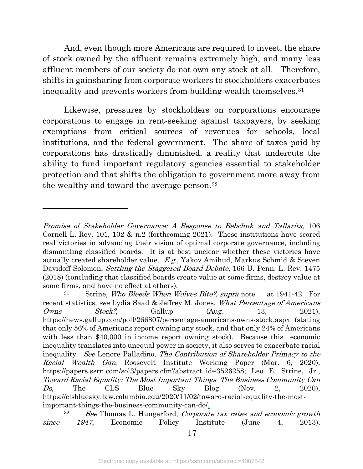And, even though more Americans are required to invest, the share of stock owned by the affluent remains extremely high, and many less affluent members of our society do not own any stock at all. Therefore, shifts in gainsharing from corporate workers to stockholders exacerbates inequality and prevents workers from building wealth themselves.[31](#page-19-0)

Likewise, pressures by stockholders on corporations encourage corporations to engage in rent-seeking against taxpayers, by seeking exemptions from critical sources of revenues for schools, local institutions, and the federal government. The share of taxes paid by corporations has drastically diminished, a reality that undercuts the ability to fund important regulatory agencies essential to stakeholder protection and that shifts the obligation to government more away from the wealthy and toward the average person.[32](#page-19-1)

Promise of Stakeholder Governance: A Response to Bebchuk and Tallarita, 106 Cornell L. Rev. 101, 102 & n.2 (forthcoming 2021). These institutions have scored real victories in advancing their vision of optimal corporate governance, including dismantling classified boards. It is at best unclear whether these victories have actually created shareholder value. E.g., Yakov Amihud, Markus Schmid & Steven Davidoff Solomon, *Settling the Staggered Board Debate*, 166 U. Penn. L. Rev. 1475 (2018) (concluding that classified boards create value at some firms, destroy value at some firms, and have no effect at others).

<span id="page-19-0"></span>Strine, Who Bleeds When Wolves Bite?, supra note at 1941-42. For recent statistics, see Lydia Saad & Jeffrey M. Jones, What Percentage of Americans  $Owns$  Stock?, Gallup (Aug. 13, 2021), https://news.gallup.com/poll/266807/percentage-americans-owns-stock.aspx (stating that only 56% of Americans report owning any stock, and that only 24% of Americans with less than \$40,000 in income report owning stock). Because this economic inequality translates into unequal power in society, it also serves to exacerbate racial inequality. See Lenore Palladino, The Contribution of Shareholder Primacy to the Racial Wealth Gap, Roosevelt Institute Working Paper (Mar. 6, 2020), https://papers.ssrn.com/sol3/papers.cfm?abstract\_id=3526258; Leo E. Strine, Jr., Toward Racial Equality: The Most Important Things The Business Community Can  $Do,$  The CLS Blue Sky Blog (Nov. 2, 2020), https://clsbluesky.law.columbia.edu/2020/11/02/toward-racial-equality-the-mostimportant-things-the-business-community-can-do/.

<span id="page-19-1"></span> $32$  See Thomas L. Hungerford, Corporate tax rates and economic growth since 1947, Economic Policy Institute (June 4, 2013),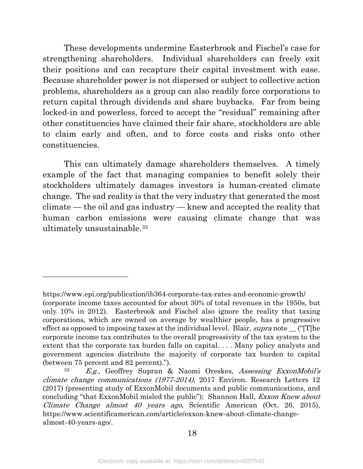These developments undermine Easterbrook and Fischel's case for strengthening shareholders. Individual shareholders can freely exit their positions and can recapture their capital investment with ease. Because shareholder power is not dispersed or subject to collective action problems, shareholders as a group can also readily force corporations to return capital through dividends and share buybacks. Far from being locked-in and powerless, forced to accept the "residual" remaining after other constituencies have claimed their fair share, stockholders are able to claim early and often, and to force costs and risks onto other constituencies.

This can ultimately damage shareholders themselves. A timely example of the fact that managing companies to benefit solely their stockholders ultimately damages investors is human-created climate change. The sad reality is that the very industry that generated the most climate — the oil and gas industry — knew and accepted the reality that human carbon emissions were causing climate change that was ultimately unsustainable.[33](#page-20-0)

https://www.epi.org/publication/ib364-corporate-tax-rates-and-economic-growth/ (corporate income taxes accounted for about 30% of total revenues in the 1950s, but only 10% in 2012). Easterbrook and Fischel also ignore the reality that taxing corporations, which are owned on average by wealthier people, has a progressive effect as opposed to imposing taxes at the individual level. Blair, supra note  $\Box$  ("IT]he corporate income tax contributes to the overall progressivity of the tax system to the extent that the corporate tax burden falls on capital. . . . Many policy analysts and government agencies distribute the majority of corporate tax burden to capital (between 75 percent and 82 percent).").

<span id="page-20-0"></span><sup>33</sup> E.g., Geoffrey Supran & Naomi Oreskes, Assessing ExxonMobil's climate change communications (1977-2014), 2017 Environ. Research Letters 12 (2017) (presenting study of ExxonMobil documents and public communications, and concluding "that ExxonMobil misled the public"); Shannon Hall, *Exxon Knew about* Climate Change almost 40 years ago, Scientific American (Oct. 26, 2015), https://www.scientificamerican.com/article/exxon-knew-about-climate-changealmost-40-years-ago/.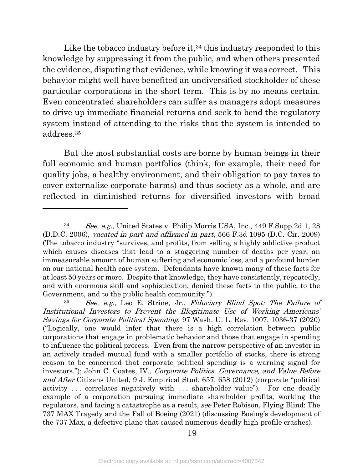Like the tobacco industry before it,  $34$  this industry responded to this knowledge by suppressing it from the public, and when others presented the evidence, disputing that evidence, while knowing it was correct. This behavior might well have benefited an undiversified stockholder of these particular corporations in the short term. This is by no means certain. Even concentrated shareholders can suffer as managers adopt measures to drive up immediate financial returns and seek to bend the regulatory system instead of attending to the risks that the system is intended to address.[35](#page-21-1)

But the most substantial costs are borne by human beings in their full economic and human portfolios (think, for example, their need for quality jobs, a healthy environment, and their obligation to pay taxes to cover externalize corporate harms) and thus society as a whole, and are reflected in diminished returns for diversified investors with broad

 $\overline{a}$ 

19

<span id="page-21-0"></span><sup>34</sup> See, e.g., United States v. Philip Morris USA, Inc., 449 F.Supp.2d 1, 28 (D.D.C. 2006), vacated in part and affirmed in part, 566 F.3d 1095 (D.C. Cir. 2009) (The tobacco industry "survives, and profits, from selling a highly addictive product which causes diseases that lead to a staggering number of deaths per year, an immeasurable amount of human suffering and economic loss, and a profound burden on our national health care system. Defendants have known many of these facts for at least 50 years or more. Despite that knowledge, they have consistently, repeatedly, and with enormous skill and sophistication, denied these facts to the public, to the Government, and to the public health community.").

<span id="page-21-1"></span><sup>35</sup> See, e.g., Leo E. Strine, Jr., Fiduciary Blind Spot: The Failure of Institutional Investors to Prevent the Illegitimate Use of Working Americans' Savings for Corporate Political Spending, 97 Wash. U. L. Rev. 1007, 1036-37 (2020) ("Logically, one would infer that there is a high correlation between public corporations that engage in problematic behavior and those that engage in spending to influence the political process. Even from the narrow perspective of an investor in an actively traded mutual fund with a smaller portfolio of stocks, there is strong reason to be concerned that corporate political spending is a warning signal for investors."); John C. Coates, IV., Corporate Politics, Governance, and Value Before and After Citizens United, 9 J. Empirical Stud. 657, 658 (2012) (corporate "political activity . . . correlates negatively with . . . shareholder value"). For one deadly example of a corporation pursuing immediate shareholder profits, working the regulators, and facing a catastrophe as a result, see Peter Robison, Flying Blind: The 737 MAX Tragedy and the Fall of Boeing (2021) (discussing Boeing's development of the 737 Max, a defective plane that caused numerous deadly high-profile crashes).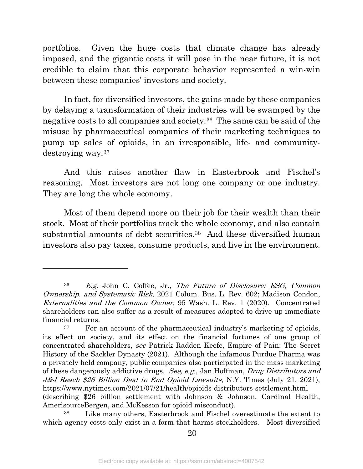portfolios. Given the huge costs that climate change has already imposed, and the gigantic costs it will pose in the near future, it is not credible to claim that this corporate behavior represented a win-win between these companies' investors and society.

In fact, for diversified investors, the gains made by these companies by delaying a transformation of their industries will be swamped by the negative costs to all companies and society.[36](#page-22-0) The same can be said of the misuse by pharmaceutical companies of their marketing techniques to pump up sales of opioids, in an irresponsible, life- and communitydestroying way.[37](#page-22-1) 

And this raises another flaw in Easterbrook and Fischel's reasoning. Most investors are not long one company or one industry. They are long the whole economy.

Most of them depend more on their job for their wealth than their stock. Most of their portfolios track the whole economy, and also contain substantial amounts of debt securities.<sup>38</sup> And these diversified human investors also pay taxes, consume products, and live in the environment.

<span id="page-22-0"></span><sup>36</sup> E.g. John C. Coffee, Jr., The Future of Disclosure: ESG, Common Ownership, and Systematic Risk, 2021 Colum. Bus. L. Rev. 602; Madison Condon, Externalities and the Common Owner, 95 Wash. L. Rev. 1 (2020). Concentrated shareholders can also suffer as a result of measures adopted to drive up immediate financial returns.

<span id="page-22-1"></span><sup>37</sup> For an account of the pharmaceutical industry's marketing of opioids, its effect on society, and its effect on the financial fortunes of one group of concentrated shareholders, see Patrick Radden Keefe, Empire of Pain: The Secret History of the Sackler Dynasty (2021). Although the infamous Purdue Pharma was a privately held company, public companies also participated in the mass marketing of these dangerously addictive drugs. See, e.g., Jan Hoffman, Drug Distributors and J&J Reach \$26 Billion Deal to End Opioid Lawsuits, N.Y. Times (July 21, 2021), https://www.nytimes.com/2021/07/21/health/opioids-distributors-settlement.html (describing \$26 billion settlement with Johnson & Johnson, Cardinal Health, AmerisourceBergen, and McKesson for opioid misconduct).

<span id="page-22-2"></span>Like many others, Easterbrook and Fischel overestimate the extent to which agency costs only exist in a form that harms stockholders. Most diversified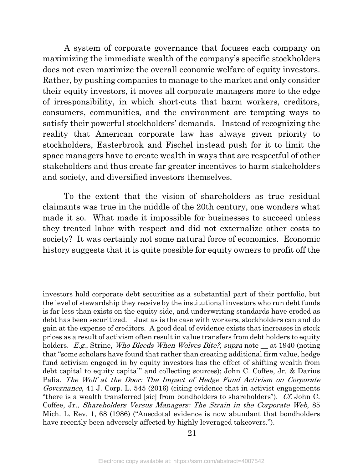A system of corporate governance that focuses each company on maximizing the immediate wealth of the company's specific stockholders does not even maximize the overall economic welfare of equity investors. Rather, by pushing companies to manage to the market and only consider their equity investors, it moves all corporate managers more to the edge of irresponsibility, in which short-cuts that harm workers, creditors, consumers, communities, and the environment are tempting ways to satisfy their powerful stockholders' demands. Instead of recognizing the reality that American corporate law has always given priority to stockholders, Easterbrook and Fischel instead push for it to limit the space managers have to create wealth in ways that are respectful of other stakeholders and thus create far greater incentives to harm stakeholders and society, and diversified investors themselves.

To the extent that the vision of shareholders as true residual claimants was true in the middle of the 20th century, one wonders what made it so. What made it impossible for businesses to succeed unless they treated labor with respect and did not externalize other costs to society? It was certainly not some natural force of economics. Economic history suggests that it is quite possible for equity owners to profit off the

investors hold corporate debt securities as a substantial part of their portfolio, but the level of stewardship they receive by the institutional investors who run debt funds is far less than exists on the equity side, and underwriting standards have eroded as debt has been securitized. Just as is the case with workers, stockholders can and do gain at the expense of creditors. A good deal of evidence exists that increases in stock prices as a result of activism often result in value transfers from debt holders to equity holders. E.g., Strine, Who Bleeds When Wolves Bite?, supra note \_\_ at 1940 (noting that "some scholars have found that rather than creating additional firm value, hedge fund activism engaged in by equity investors has the effect of shifting wealth from debt capital to equity capital" and collecting sources); John C. Coffee, Jr. & Darius Palia, The Wolf at the Door: The Impact of Hedge Fund Activism on Corporate Governance, 41 J. Corp. L. 545 (2016) (citing evidence that in activist engagements "there is a wealth transferred [sic] from bondholders to shareholders"). Cf. John C. Coffee, Jr., Shareholders Versus Managers: The Strain in the Corporate Web, 85 Mich. L. Rev. 1, 68 (1986) ("Anecdotal evidence is now abundant that bondholders have recently been adversely affected by highly leveraged takeovers.").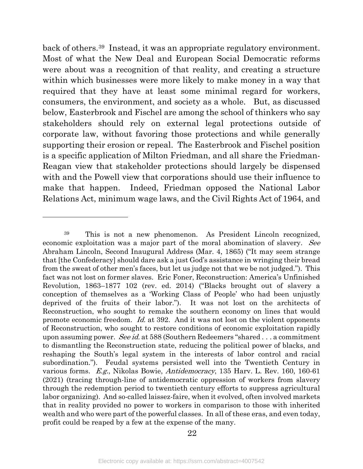back of others.[39](#page-24-0) Instead, it was an appropriate regulatory environment. Most of what the New Deal and European Social Democratic reforms were about was a recognition of that reality, and creating a structure within which businesses were more likely to make money in a way that required that they have at least some minimal regard for workers, consumers, the environment, and society as a whole. But, as discussed below, Easterbrook and Fischel are among the school of thinkers who say stakeholders should rely on external legal protections outside of corporate law, without favoring those protections and while generally supporting their erosion or repeal. The Easterbrook and Fischel position is a specific application of Milton Friedman, and all share the Friedman-Reagan view that stakeholder protections should largely be dispensed with and the Powell view that corporations should use their influence to make that happen. Indeed, Friedman opposed the National Labor Relations Act, minimum wage laws, and the Civil Rights Act of 1964, and

<span id="page-24-0"></span><sup>39</sup> This is not a new phenomenon. As President Lincoln recognized, economic exploitation was a major part of the moral abomination of slavery. See Abraham Lincoln, Second Inaugural Address (Mar. 4, 1865) ("It may seem strange that [the Confederacy] should dare ask a just God's assistance in wringing their bread from the sweat of other men's faces, but let us judge not that we be not judged."). This fact was not lost on former slaves. Eric Foner, Reconstruction: America's Unfinished Revolution, 1863–1877 102 (rev. ed. 2014) ("Blacks brought out of slavery a conception of themselves as a 'Working Class of People' who had been unjustly deprived of the fruits of their labor."). It was not lost on the architects of Reconstruction, who sought to remake the southern economy on lines that would promote economic freedom. Id. at 392. And it was not lost on the violent opponents of Reconstruction, who sought to restore conditions of economic exploitation rapidly upon assuming power. See id. at 588 (Southern Redeemers "shared ... a commitment to dismantling the Reconstruction state, reducing the political power of blacks, and reshaping the South's legal system in the interests of labor control and racial subordination."). Feudal systems persisted well into the Twentieth Century in various forms. E.g., Nikolas Bowie, Antidemocracy, 135 Harv. L. Rev. 160, 160-61 (2021) (tracing through-line of antidemocratic oppression of workers from slavery through the redemption period to twentieth century efforts to suppress agricultural labor organizing). And so-called laissez-faire, when it evolved, often involved markets that in reality provided no power to workers in comparison to those with inherited wealth and who were part of the powerful classes. In all of these eras, and even today, profit could be reaped by a few at the expense of the many.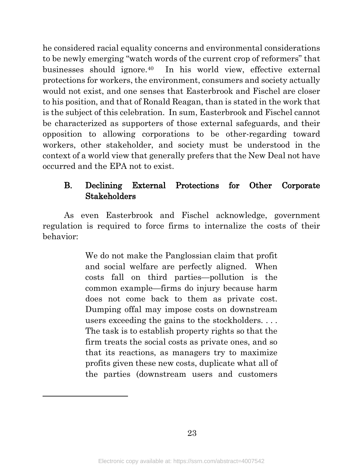he considered racial equality concerns and environmental considerations to be newly emerging "watch words of the current crop of reformers" that businesses should ignore.[40](#page-25-0) In his world view, effective external protections for workers, the environment, consumers and society actually would not exist, and one senses that Easterbrook and Fischel are closer to his position, and that of Ronald Reagan, than is stated in the work that is the subject of this celebration. In sum, Easterbrook and Fischel cannot be characterized as supporters of those external safeguards, and their opposition to allowing corporations to be other-regarding toward workers, other stakeholder, and society must be understood in the context of a world view that generally prefers that the New Deal not have occurred and the EPA not to exist.

#### B. Declining External Protections for Other Corporate Stakeholders

As even Easterbrook and Fischel acknowledge, government regulation is required to force firms to internalize the costs of their behavior:

> <span id="page-25-0"></span>We do not make the Panglossian claim that profit and social welfare are perfectly aligned. When costs fall on third parties—pollution is the common example—firms do injury because harm does not come back to them as private cost. Dumping offal may impose costs on downstream users exceeding the gains to the stockholders. . . . The task is to establish property rights so that the firm treats the social costs as private ones, and so that its reactions, as managers try to maximize profits given these new costs, duplicate what all of the parties (downstream users and customers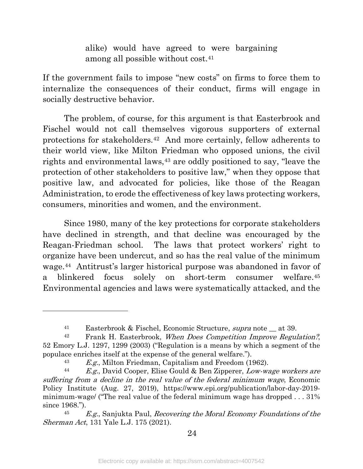alike) would have agreed to were bargaining among all possible without cost.[41](#page-26-0)

If the government fails to impose "new costs" on firms to force them to internalize the consequences of their conduct, firms will engage in socially destructive behavior.

The problem, of course, for this argument is that Easterbrook and Fischel would not call themselves vigorous supporters of external protections for stakeholders.[42](#page-26-1) And more certainly, fellow adherents to their world view, like Milton Friedman who opposed unions, the civil rights and environmental laws,<sup>43</sup> are oddly positioned to say, "leave the protection of other stakeholders to positive law," when they oppose that positive law, and advocated for policies, like those of the Reagan Administration, to erode the effectiveness of key laws protecting workers, consumers, minorities and women, and the environment.

Since 1980, many of the key protections for corporate stakeholders have declined in strength, and that decline was encouraged by the Reagan-Friedman school. The laws that protect workers' right to organize have been undercut, and so has the real value of the minimum wage.[44](#page-26-3) Antitrust's larger historical purpose was abandoned in favor of a blinkered focus solely on short-term consumer welfare.[45](#page-26-4) Environmental agencies and laws were systematically attacked, and the

<sup>41</sup> Easterbrook & Fischel, Economic Structure, supra note \_\_ at 39.

<span id="page-26-1"></span><span id="page-26-0"></span><sup>&</sup>lt;sup>42</sup> Frank H. Easterbrook, *When Does Competition Improve Regulation?*, 52 Emory L.J. 1297, 1299 (2003) ("Regulation is a means by which a segment of the populace enriches itself at the expense of the general welfare.").

<sup>43</sup> E.g., Milton Friedman, Capitalism and Freedom (1962).

<span id="page-26-3"></span><span id="page-26-2"></span> $44$  E.g., David Cooper, Elise Gould & Ben Zipperer, Low-wage workers are suffering from a decline in the real value of the federal minimum wage, Economic Policy Institute (Aug. 27, 2019), https://www.epi.org/publication/labor-day-2019 minimum-wage/ ("The real value of the federal minimum wage has dropped . . . 31% since 1968.").

<span id="page-26-4"></span> $45$  E.g., Sanjukta Paul, Recovering the Moral Economy Foundations of the Sherman Act, 131 Yale L.J. 175 (2021).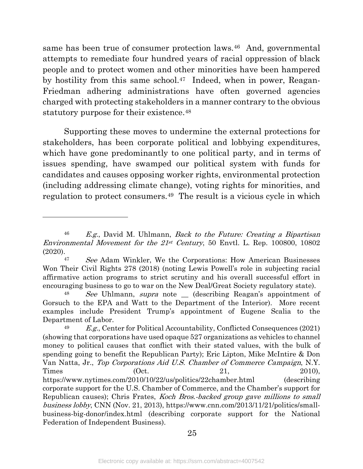same has been true of consumer protection laws.[46](#page-27-0) And, governmental attempts to remediate four hundred years of racial oppression of black people and to protect women and other minorities have been hampered by hostility from this same school.<sup>47</sup> Indeed, when in power, Reagan-Friedman adhering administrations have often governed agencies charged with protecting stakeholders in a manner contrary to the obvious statutory purpose for their existence.<sup>[48](#page-27-2)</sup>

Supporting these moves to undermine the external protections for stakeholders, has been corporate political and lobbying expenditures, which have gone predominantly to one political party, and in terms of issues spending, have swamped our political system with funds for candidates and causes opposing worker rights, environmental protection (including addressing climate change), voting rights for minorities, and regulation to protect consumers.[49](#page-27-3) The result is a vicious cycle in which

l

25

<span id="page-27-0"></span> $46$  E.g., David M. Uhlmann, Back to the Future: Creating a Bipartisan Environmental Movement for the  $21st$  Century, 50 Envtl. L. Rep. 100800, 10802 (2020).

<span id="page-27-1"></span><sup>47</sup> See Adam Winkler, We the Corporations: How American Businesses Won Their Civil Rights 278 (2018) (noting Lewis Powell's role in subjecting racial affirmative action programs to strict scrutiny and his overall successful effort in encouraging business to go to war on the New Deal/Great Society regulatory state).

<span id="page-27-2"></span>See Uhlmann, supra note  $\equiv$  (describing Reagan's appointment of Gorsuch to the EPA and Watt to the Department of the Interior). More recent examples include President Trump's appointment of Eugene Scalia to the Department of Labor.

<span id="page-27-3"></span> $49$  E.g., Center for Political Accountability, Conflicted Consequences (2021) (showing that corporations have used opaque 527 organizations as vehicles to channel money to political causes that conflict with their stated values, with the bulk of spending going to benefit the Republican Party); Eric Lipton, Mike McIntire & Don Van Natta, Jr., Top Corporations Aid U.S. Chamber of Commerce Campaign, N.Y. Times  $(0ct. 21, 2010)$ , https://www.nytimes.com/2010/10/22/us/politics/22chamber.html (describing corporate support for the U.S. Chamber of Commerce, and the Chamber's support for Republican causes); Chris Frates, Koch Bros.-backed group gave millions to small business lobby, CNN (Nov. 21, 2013), https://www.cnn.com/2013/11/21/politics/smallbusiness-big-donor/index.html (describing corporate support for the National Federation of Independent Business).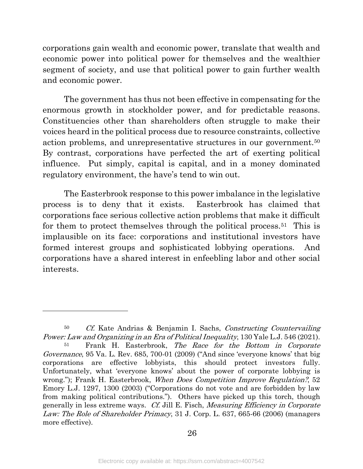corporations gain wealth and economic power, translate that wealth and economic power into political power for themselves and the wealthier segment of society, and use that political power to gain further wealth and economic power.

The government has thus not been effective in compensating for the enormous growth in stockholder power, and for predictable reasons. Constituencies other than shareholders often struggle to make their voices heard in the political process due to resource constraints, collective action problems, and unrepresentative structures in our government.[50](#page-28-0) By contrast, corporations have perfected the art of exerting political influence. Put simply, capital is capital, and in a money dominated regulatory environment, the have's tend to win out.

The Easterbrook response to this power imbalance in the legislative process is to deny that it exists. Easterbrook has claimed that corporations face serious collective action problems that make it difficult for them to protect themselves through the political process.[51](#page-28-1) This is implausible on its face: corporations and institutional investors have formed interest groups and sophisticated lobbying operations. And corporations have a shared interest in enfeebling labor and other social interests.

<span id="page-28-0"></span><sup>&</sup>lt;sup>50</sup> Cf. Kate Andrias & Benjamin I. Sachs, Constructing Countervailing Power: Law and Organizing in an Era of Political Inequality, 130 Yale L.J. 546 (2021).

<span id="page-28-1"></span>Frank H. Easterbrook, The Race for the Bottom in Corporate Governance, 95 Va. L. Rev. 685, 700-01 (2009) ("And since 'everyone knows' that big corporations are effective lobbyists, this should protect investors fully. Unfortunately, what 'everyone knows' about the power of corporate lobbying is wrong."); Frank H. Easterbrook, When Does Competition Improve Regulation?, 52 Emory L.J. 1297, 1300 (2003) ("Corporations do not vote and are forbidden by law from making political contributions."). Others have picked up this torch, though generally in less extreme ways. Cf. Jill E. Fisch, Measuring Efficiency in Corporate Law: The Role of Shareholder Primacy, 31 J. Corp. L. 637, 665-66 (2006) (managers more effective).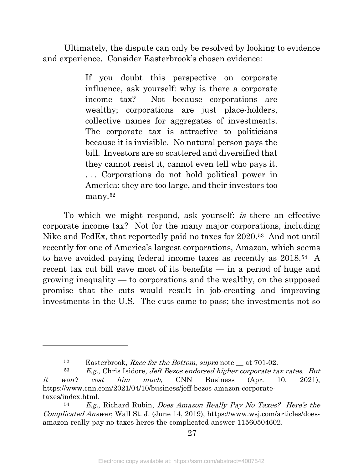Ultimately, the dispute can only be resolved by looking to evidence and experience. Consider Easterbrook's chosen evidence:

> If you doubt this perspective on corporate influence, ask yourself: why is there a corporate income tax? Not because corporations are wealthy; corporations are just place-holders, collective names for aggregates of investments. The corporate tax is attractive to politicians because it is invisible. No natural person pays the bill. Investors are so scattered and diversified that they cannot resist it, cannot even tell who pays it. . . . Corporations do not hold political power in America: they are too large, and their investors too many.[52](#page-29-0)

To which we might respond, ask yourself: is there an effective corporate income tax? Not for the many major corporations, including Nike and FedEx, that reportedly paid no taxes for 2020.[53](#page-29-1) And not until recently for one of America's largest corporations, Amazon, which seems to have avoided paying federal income taxes as recently as 2018.[54](#page-29-2) A recent tax cut bill gave most of its benefits — in a period of huge and growing inequality — to corporations and the wealthy, on the supposed promise that the cuts would result in job-creating and improving investments in the U.S. The cuts came to pass; the investments not so

<sup>&</sup>lt;sup>52</sup> Easterbrook, *Race for the Bottom, supra* note at 701-02.

<span id="page-29-1"></span><span id="page-29-0"></span> $53$  E.g., Chris Isidore, Jeff Bezos endorsed higher corporate tax rates. But it won't cost him much, CNN Business (Apr. 10, 2021), https://www.cnn.com/2021/04/10/business/jeff-bezos-amazon-corporatetaxes/index.html.

<span id="page-29-2"></span><sup>54</sup> E.g., Richard Rubin, Does Amazon Really Pay No Taxes? Here's the Complicated Answer, Wall St. J. (June 14, 2019), https://www.wsj.com/articles/doesamazon-really-pay-no-taxes-heres-the-complicated-answer-11560504602.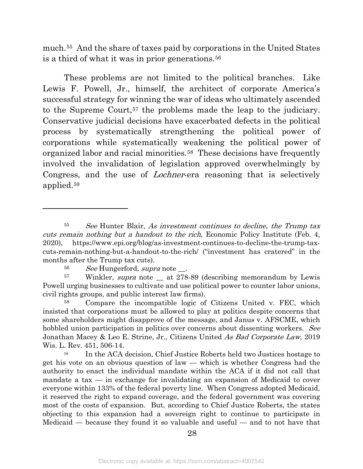much.[55](#page-30-0) And the share of taxes paid by corporations in the United States is a third of what it was in prior generations.[56](#page-30-1)

These problems are not limited to the political branches. Like Lewis F. Powell, Jr., himself, the architect of corporate America's successful strategy for winning the war of ideas who ultimately ascended to the Supreme Court,[57](#page-30-2) the problems made the leap to the judiciary. Conservative judicial decisions have exacerbated defects in the political process by systematically strengthening the political power of corporations while systematically weakening the political power of organized labor and racial minorities.[58](#page-30-3) These decisions have frequently involved the invalidation of legislation approved overwhelmingly by Congress, and the use of Lochner-era reasoning that is selectively applied.[59](#page-30-4)

<span id="page-30-0"></span><sup>&</sup>lt;sup>55</sup> See Hunter Blair, As investment continues to decline, the Trump tax cuts remain nothing but a handout to the rich, Economic Policy Institute (Feb. 4, 2020), https://www.epi.org/blog/as-investment-continues-to-decline-the-trump-taxcuts-remain-nothing-but-a-handout-to-the-rich/ ("investment has cratered" in the months after the Trump tax cuts).

<sup>56</sup> See Hungerford, supra note \_\_.

<span id="page-30-2"></span><span id="page-30-1"></span><sup>&</sup>lt;sup>57</sup> Winkler, *supra* note \_\_ at 278-89 (describing memorandum by Lewis Powell urging businesses to cultivate and use political power to counter labor unions, civil rights groups, and public interest law firms).

<span id="page-30-3"></span><sup>58</sup> Compare the incompatible logic of Citizens United v. FEC, which insisted that corporations must be allowed to play at politics despite concerns that some shareholders might disapprove of the message, and Janus v. AFSCME, which hobbled union participation in politics over concerns about dissenting workers. See Jonathan Macey & Leo E. Strine, Jr., Citizens United As Bad Corporate Law, 2019 Wis. L. Rev. 451, 506-14.

<span id="page-30-4"></span><sup>&</sup>lt;sup>59</sup> In the ACA decision, Chief Justice Roberts held two Justices hostage to get his vote on an obvious question of law — which is whether Congress had the authority to enact the individual mandate within the ACA if it did not call that mandate a tax — in exchange for invalidating an expansion of Medicaid to cover everyone within 133% of the federal poverty line. When Congress adopted Medicaid, it reserved the right to expand coverage, and the federal government was covering most of the costs of expansion. But, according to Chief Justice Roberts, the states objecting to this expansion had a sovereign right to continue to participate in Medicaid — because they found it so valuable and useful — and to not have that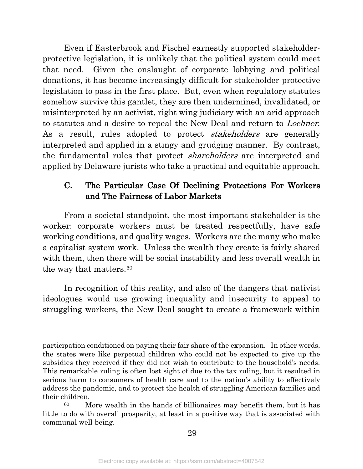Even if Easterbrook and Fischel earnestly supported stakeholderprotective legislation, it is unlikely that the political system could meet that need. Given the onslaught of corporate lobbying and political donations, it has become increasingly difficult for stakeholder-protective legislation to pass in the first place. But, even when regulatory statutes somehow survive this gantlet, they are then undermined, invalidated, or misinterpreted by an activist, right wing judiciary with an arid approach to statutes and a desire to repeal the New Deal and return to Lochner. As a result, rules adopted to protect *stakeholders* are generally interpreted and applied in a stingy and grudging manner. By contrast, the fundamental rules that protect *shareholders* are interpreted and applied by Delaware jurists who take a practical and equitable approach.

#### C. The Particular Case Of Declining Protections For Workers and The Fairness of Labor Markets

From a societal standpoint, the most important stakeholder is the worker: corporate workers must be treated respectfully, have safe working conditions, and quality wages. Workers are the many who make a capitalist system work. Unless the wealth they create is fairly shared with them, then there will be social instability and less overall wealth in the way that matters.<sup>[60](#page-31-0)</sup>

In recognition of this reality, and also of the dangers that nativist ideologues would use growing inequality and insecurity to appeal to struggling workers, the New Deal sought to create a framework within

participation conditioned on paying their fair share of the expansion. In other words, the states were like perpetual children who could not be expected to give up the subsidies they received if they did not wish to contribute to the household's needs. This remarkable ruling is often lost sight of due to the tax ruling, but it resulted in serious harm to consumers of health care and to the nation's ability to effectively address the pandemic, and to protect the health of struggling American families and their children.

<span id="page-31-0"></span><sup>60</sup> More wealth in the hands of billionaires may benefit them, but it has little to do with overall prosperity, at least in a positive way that is associated with communal well-being.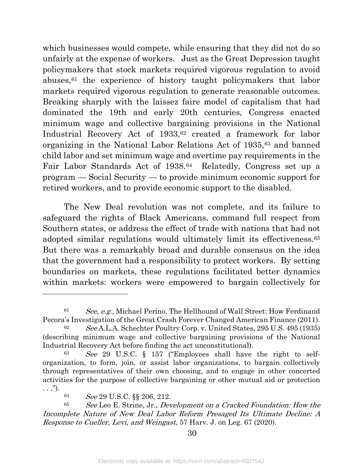which businesses would compete, while ensuring that they did not do so unfairly at the expense of workers. Just as the Great Depression taught policymakers that stock markets required vigorous regulation to avoid abuses[,61](#page-32-0) the experience of history taught policymakers that labor markets required vigorous regulation to generate reasonable outcomes. Breaking sharply with the laissez faire model of capitalism that had dominated the 19th and early 20th centuries, Congress enacted minimum wage and collective bargaining provisions in the National Industrial Recovery Act of 1933,<sup>[62](#page-32-1)</sup> created a framework for labor organizing in the National Labor Relations Act of 1935,[63](#page-32-2) and banned child labor and set minimum wage and overtime pay requirements in the Fair Labor Standards Act of 1938.<sup>[64](#page-32-3)</sup> Relatedly, Congress set up a program — Social Security — to provide minimum economic support for retired workers, and to provide economic support to the disabled.

The New Deal revolution was not complete, and its failure to safeguard the rights of Black Americans, command full respect from Southern states, or address the effect of trade with nations that had not adopted similar regulations would ultimately limit its effectiveness.[65](#page-32-4) But there was a remarkably broad and durable consensus on the idea that the government had a responsibility to protect workers. By setting boundaries on markets, these regulations facilitated better dynamics within markets: workers were empowered to bargain collectively for

<span id="page-32-0"></span> $61$  See, e.g., Michael Perino, The Hellhound of Wall Street: How Ferdinand Pecora's Investigation of the Great Crash Forever Changed American Finance (2011).

<span id="page-32-1"></span><sup>&</sup>lt;sup>62</sup> See A.L.A. Schechter Poultry Corp. v. United States, 295 U.S. 495 (1935) (describing minimum wage and collective bargaining provisions of the National Industrial Recovery Act before finding the act unconstitutional).

<span id="page-32-2"></span> $63$  See 29 U.S.C. § 157 ("Employees shall have the right to selforganization, to form, join, or assist labor organizations, to bargain collectively through representatives of their own choosing, and to engage in other concerted activities for the purpose of collective bargaining or other mutual aid or protection  $\ldots$ ").

<sup>64</sup> See 29 U.S.C. §§ 206, 212.

<span id="page-32-4"></span><span id="page-32-3"></span> $65$  See Leo E. Strine, Jr., Development on a Cracked Foundation: How the Incomplete Nature of New Deal Labor Reform Presaged Its Ultimate Decline: A Response to Cueller, Levi, and Weingast, 57 Harv. J. on Leg. 67 (2020).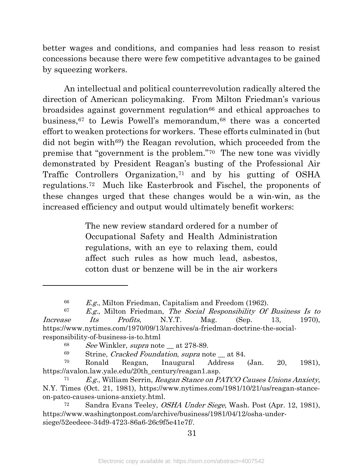better wages and conditions, and companies had less reason to resist concessions because there were few competitive advantages to be gained by squeezing workers.

An intellectual and political counterrevolution radically altered the direction of American policymaking. From Milton Friedman's various broadsides against government regulation<sup>[66](#page-33-0)</sup> and ethical approaches to business,<sup>[67](#page-33-1)</sup> to Lewis Powell's memorandum,<sup>[68](#page-33-2)</sup> there was a concerted effort to weaken protections for workers. These efforts culminated in (but did not begin with<sup>[69](#page-33-3)</sup>) the Reagan revolution, which proceeded from the premise that "government is the problem.["70](#page-33-4) The new tone was vividly demonstrated by President Reagan's busting of the Professional Air Traffic Controllers Organization,[71](#page-33-5) and by his gutting of OSHA regulations.[72](#page-33-6) Much like Easterbrook and Fischel, the proponents of these changes urged that these changes would be a win-win, as the increased efficiency and output would ultimately benefit workers:

> The new review standard ordered for a number of Occupational Safety and Health Administration regulations, with an eye to relaxing them, could affect such rules as how much lead, asbestos, cotton dust or benzene will be in the air workers

 $\overline{a}$ 

31

<sup>&</sup>lt;sup>66</sup> E.g., Milton Friedman, Capitalism and Freedom (1962).<br><sup>67</sup> E.g., Milton Friedman, *The Social Besnensibility Of* 

<span id="page-33-1"></span><span id="page-33-0"></span> $E.g.,$  Milton Friedman, The Social Responsibility Of Business Is to Increase Its Profits, N.Y.T. Mag. (Sep. 13, 1970), https://www.nytimes.com/1970/09/13/archives/a-friedman-doctrine-the-socialresponsibility-of-business-is-to.html

 $68$  See Winkler, supra note at 278-89.

 $69$  Strine, *Cracked Foundation*, *supra* note  $\_\$ at 84.

<span id="page-33-4"></span><span id="page-33-3"></span><span id="page-33-2"></span><sup>70</sup> Ronald Reagan, Inaugural Address (Jan. 20, 1981), https://avalon.law.yale.edu/20th\_century/reagan1.asp.

<span id="page-33-5"></span> $71$  E.g., William Serrin, Reagan Stance on PATCO Causes Unions Anxiety, N.Y. Times (Oct. 21, 1981), https://www.nytimes.com/1981/10/21/us/reagan-stanceon-patco-causes-unions-anxiety.html.

<span id="page-33-6"></span><sup>72</sup> Sandra Evans Teeley, OSHA Under Siege, Wash. Post (Apr. 12, 1981), https://www.washingtonpost.com/archive/business/1981/04/12/osha-undersiege/52eedeee-34d9-4723-86a6-26c9f5e41e7f/.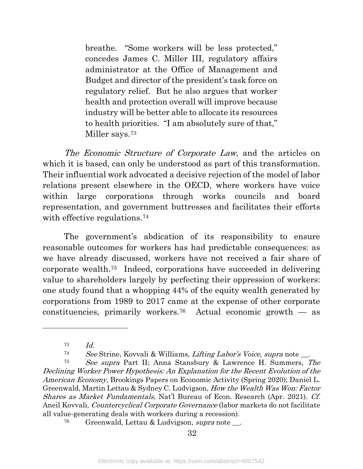breathe. "Some workers will be less protected," concedes James C. Miller III, regulatory affairs administrator at the Office of Management and Budget and director of the president's task force on regulatory relief. But he also argues that worker health and protection overall will improve because industry will be better able to allocate its resources to health priorities. "I am absolutely sure of that," Miller says.[73](#page-34-0)

The Economic Structure of Corporate Law, and the articles on which it is based, can only be understood as part of this transformation. Their influential work advocated a decisive rejection of the model of labor relations present elsewhere in the OECD, where workers have voice within large corporations through works councils and board representation, and government buttresses and facilitates their efforts with effective regulations.<sup>74</sup>

The government's abdication of its responsibility to ensure reasonable outcomes for workers has had predictable consequences: as we have already discussed, workers have not received a fair share of corporate wealth.[75](#page-34-2) Indeed, corporations have succeeded in delivering value to shareholders largely by perfecting their oppression of workers: one study found that a whopping 44% of the equity wealth generated by corporations from 1989 to 2017 came at the expense of other corporate constituencies, primarily workers.<sup>76</sup> Actual economic growth  $-$  as

 $73$  *Id.* 

<sup>74</sup> See Strine, Kovvali & Williams, Lifting Labor's Voice, supra note \_\_.

<span id="page-34-2"></span><span id="page-34-1"></span><span id="page-34-0"></span><sup>75</sup> See supra Part II; Anna Stansbury & Lawrence H. Summers, The Declining Worker Power Hypothesis: An Explanation for the Recent Evolution of the American Economy, Brookings Papers on Economic Activity (Spring 2020); Daniel L. Greenwald, Martin Lettau & Sydney C. Ludvigson, How the Wealth Was Won: Factor Shares as Market Fundamentals, Nat'l Bureau of Econ. Research (Apr. 2021). Cf. Aneil Kovvali, Countercyclical Corporate Governance (labor markets do not facilitate all value-generating deals with workers during a recession).

<span id="page-34-3"></span> $76$  Greenwald, Lettau & Ludvigson, supra note  $\Box$ .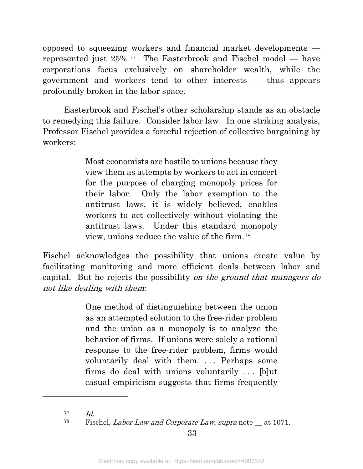opposed to squeezing workers and financial market developments represented just 25%.[77](#page-35-0) The Easterbrook and Fischel model — have corporations focus exclusively on shareholder wealth, while the government and workers tend to other interests — thus appears profoundly broken in the labor space.

Easterbrook and Fischel's other scholarship stands as an obstacle to remedying this failure. Consider labor law. In one striking analysis, Professor Fischel provides a forceful rejection of collective bargaining by workers:

> Most economists are hostile to unions because they view them as attempts by workers to act in concert for the purpose of charging monopoly prices for their labor. Only the labor exemption to the antitrust laws, it is widely believed, enables workers to act collectively without violating the antitrust laws. Under this standard monopoly view, unions reduce the value of the firm.[78](#page-35-1)

Fischel acknowledges the possibility that unions create value by facilitating monitoring and more efficient deals between labor and capital. But he rejects the possibility on the ground that managers do not like dealing with them:

> One method of distinguishing between the union as an attempted solution to the free-rider problem and the union as a monopoly is to analyze the behavior of firms. If unions were solely a rational response to the free-rider problem, firms would voluntarily deal with them. ... Perhaps some firms do deal with unions voluntarily . . . [b]ut casual empiricism suggests that firms frequently

<span id="page-35-0"></span> $77$   $Id.$ 

<span id="page-35-1"></span> $78$  Fischel, *Labor Law and Corporate Law, supra* note  $\mu$  at 1071.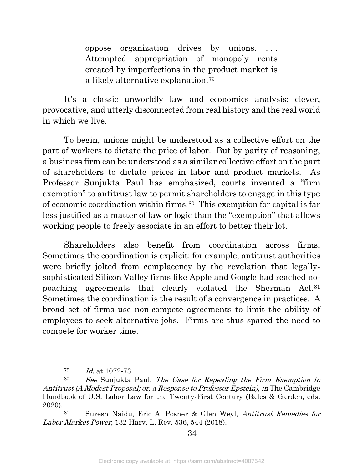oppose organization drives by unions. Attempted appropriation of monopoly rents created by imperfections in the product market is a likely alternative explanation.[79](#page-36-0)

It's a classic unworldly law and economics analysis: clever, provocative, and utterly disconnected from real history and the real world in which we live.

To begin, unions might be understood as a collective effort on the part of workers to dictate the price of labor. But by parity of reasoning, a business firm can be understood as a similar collective effort on the part of shareholders to dictate prices in labor and product markets. As Professor Sunjukta Paul has emphasized, courts invented a "firm exemption" to antitrust law to permit shareholders to engage in this type of economic coordination within firms.[80](#page-36-1) This exemption for capital is far less justified as a matter of law or logic than the "exemption" that allows working people to freely associate in an effort to better their lot.

Shareholders also benefit from coordination across firms. Sometimes the coordination is explicit: for example, antitrust authorities were briefly jolted from complacency by the revelation that legallysophisticated Silicon Valley firms like Apple and Google had reached nopoaching agreements that clearly violated the Sherman Act.[81](#page-36-2) Sometimes the coordination is the result of a convergence in practices. A broad set of firms use non-compete agreements to limit the ability of employees to seek alternative jobs. Firms are thus spared the need to compete for worker time.

 $Id.$  at 1072-73.

<span id="page-36-1"></span><span id="page-36-0"></span><sup>80</sup> See Sunjukta Paul, The Case for Repealing the Firm Exemption to Antitrust (A Modest Proposal; or, a Response to Professor Epstein), in The Cambridge Handbook of U.S. Labor Law for the Twenty-First Century (Bales & Garden, eds. 2020).

<span id="page-36-2"></span><sup>81</sup> Suresh Naidu, Eric A. Posner & Glen Weyl, Antitrust Remedies for Labor Market Power, 132 Harv. L. Rev. 536, 544 (2018).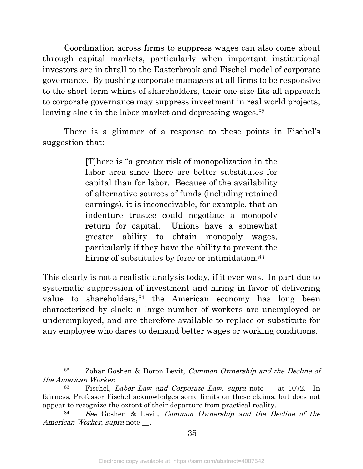Coordination across firms to suppress wages can also come about through capital markets, particularly when important institutional investors are in thrall to the Easterbrook and Fischel model of corporate governance. By pushing corporate managers at all firms to be responsive to the short term whims of shareholders, their one-size-fits-all approach to corporate governance may suppress investment in real world projects, leaving slack in the labor market and depressing wages.<sup>[82](#page-37-0)</sup>

There is a glimmer of a response to these points in Fischel's suggestion that:

> [T]here is "a greater risk of monopolization in the labor area since there are better substitutes for capital than for labor. Because of the availability of alternative sources of funds (including retained earnings), it is inconceivable, for example, that an indenture trustee could negotiate a monopoly return for capital. Unions have a somewhat greater ability to obtain monopoly wages, particularly if they have the ability to prevent the hiring of substitutes by force or intimidation.<sup>[83](#page-37-1)</sup>

This clearly is not a realistic analysis today, if it ever was. In part due to systematic suppression of investment and hiring in favor of delivering value to shareholders, <sup>[84](#page-37-2)</sup> the American economy has long been characterized by slack: a large number of workers are unemployed or underemployed, and are therefore available to replace or substitute for any employee who dares to demand better wages or working conditions.

<span id="page-37-0"></span><sup>82</sup> Zohar Goshen & Doron Levit, Common Ownership and the Decline of the American Worker.

<span id="page-37-1"></span><sup>83</sup> Fischel, Labor Law and Corporate Law, supra note \_\_ at 1072. In fairness, Professor Fischel acknowledges some limits on these claims, but does not appear to recognize the extent of their departure from practical reality.

<span id="page-37-2"></span><sup>84</sup> See Goshen & Levit, Common Ownership and the Decline of the American Worker, supra note \_\_.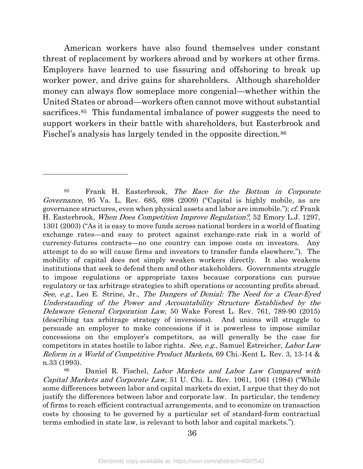American workers have also found themselves under constant threat of replacement by workers abroad and by workers at other firms. Employers have learned to use fissuring and offshoring to break up worker power, and drive gains for shareholders. Although shareholder money can always flow someplace more congenial—whether within the United States or abroad—workers often cannot move without substantial sacrifices.<sup>[85](#page-38-0)</sup> This fundamental imbalance of power suggests the need to support workers in their battle with shareholders, but Easterbrook and Fischel's analysis has largely tended in the opposite direction.<sup>[86](#page-38-1)</sup>

<span id="page-38-0"></span><sup>85</sup> Frank H. Easterbrook, The Race for the Bottom in Corporate Governance, 95 Va. L. Rev. 685, 698 (2009) ("Capital is highly mobile, as are governance structures, even when physical assets and labor are immobile."); cf. Frank H. Easterbrook, When Does Competition Improve Regulation?, 52 Emory L.J. 1297, 1301 (2003) ("As it is easy to move funds across national borders in a world of floating exchange rates—and easy to protect against exchange-rate risk in a world of currency-futures contracts—no one country can impose costs on investors. Any attempt to do so will cause firms and investors to transfer funds elsewhere."). The mobility of capital does not simply weaken workers directly. It also weakens institutions that seek to defend them and other stakeholders. Governments struggle to impose regulations or appropriate taxes because corporations can pursue regulatory or tax arbitrage strategies to shift operations or accounting profits abroad. See, e.g., Leo E. Strine, Jr., The Dangers of Denial: The Need for a Clear-Eyed Understanding of the Power and Accountability Structure Established by the Delaware General Corporation Law, 50 Wake Forest L. Rev. 761, 789-90 (2015) (describing tax arbitrage strategy of inversions). And unions will struggle to persuade an employer to make concessions if it is powerless to impose similar concessions on the employer's competitors, as will generally be the case for competitors in states hostile to labor rights. See, e.g., Samuel Estreicher, Labor Law Reform in a World of Competitive Product Markets, 69 Chi.-Kent L. Rev. 3, 13-14 & n.33 (1993).

<span id="page-38-1"></span><sup>86</sup> Daniel R. Fischel, Labor Markets and Labor Law Compared with Capital Markets and Corporate Law, 51 U. Chi. L. Rev. 1061, 1061 (1984) ("While some differences between labor and capital markets do exist, I argue that they do not justify the differences between labor and corporate law. In particular, the tendency of firms to reach efficient contractual arrangements, and to economize on transaction costs by choosing to be governed by a particular set of standard-form contractual terms embodied in state law, is relevant to both labor and capital markets.").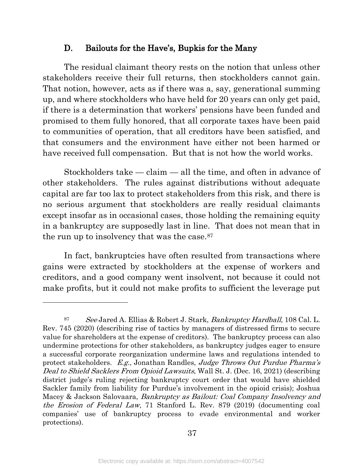#### D. Bailouts for the Have's, Bupkis for the Many

The residual claimant theory rests on the notion that unless other stakeholders receive their full returns, then stockholders cannot gain. That notion, however, acts as if there was a, say, generational summing up, and where stockholders who have held for 20 years can only get paid, if there is a determination that workers' pensions have been funded and promised to them fully honored, that all corporate taxes have been paid to communities of operation, that all creditors have been satisfied, and that consumers and the environment have either not been harmed or have received full compensation. But that is not how the world works.

Stockholders take — claim — all the time, and often in advance of other stakeholders. The rules against distributions without adequate capital are far too lax to protect stakeholders from this risk, and there is no serious argument that stockholders are really residual claimants except insofar as in occasional cases, those holding the remaining equity in a bankruptcy are supposedly last in line. That does not mean that in the run up to insolvency that was the case.<sup>87</sup>

In fact, bankruptcies have often resulted from transactions where gains were extracted by stockholders at the expense of workers and creditors, and a good company went insolvent, not because it could not make profits, but it could not make profits to sufficient the leverage put

<span id="page-39-0"></span><sup>87</sup> See Jared A. Ellias & Robert J. Stark, Bankruptcy Hardball, 108 Cal. L. Rev. 745 (2020) (describing rise of tactics by managers of distressed firms to secure value for shareholders at the expense of creditors). The bankruptcy process can also undermine protections for other stakeholders, as bankruptcy judges eager to ensure a successful corporate reorganization undermine laws and regulations intended to protect stakeholders. E.g., Jonathan Randles, Judge Throws Out Purdue Pharma's Deal to Shield Sacklers From Opioid Lawsuits, Wall St. J. (Dec. 16, 2021) (describing district judge's ruling rejecting bankruptcy court order that would have shielded Sackler family from liability for Purdue's involvement in the opioid crisis); Joshua Macey & Jackson Salovaara, *Bankruptcy as Bailout: Coal Company Insolvency and* the Erosion of Federal Law, 71 Stanford L. Rev. 879 (2019) (documenting coal companies' use of bankruptcy process to evade environmental and worker protections).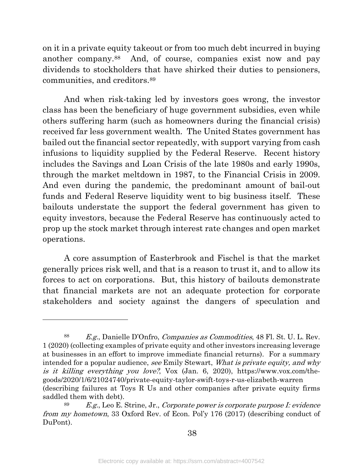on it in a private equity takeout or from too much debt incurred in buying another company.[88](#page-40-0) And, of course, companies exist now and pay dividends to stockholders that have shirked their duties to pensioners, communities, and creditors[.89](#page-40-1)

And when risk-taking led by investors goes wrong, the investor class has been the beneficiary of huge government subsidies, even while others suffering harm (such as homeowners during the financial crisis) received far less government wealth. The United States government has bailed out the financial sector repeatedly, with support varying from cash infusions to liquidity supplied by the Federal Reserve. Recent history includes the Savings and Loan Crisis of the late 1980s and early 1990s, through the market meltdown in 1987, to the Financial Crisis in 2009. And even during the pandemic, the predominant amount of bail-out funds and Federal Reserve liquidity went to big business itself. These bailouts understate the support the federal government has given to equity investors, because the Federal Reserve has continuously acted to prop up the stock market through interest rate changes and open market operations.

A core assumption of Easterbrook and Fischel is that the market generally prices risk well, and that is a reason to trust it, and to allow its forces to act on corporations. But, this history of bailouts demonstrate that financial markets are not an adequate protection for corporate stakeholders and society against the dangers of speculation and

<span id="page-40-0"></span><sup>88</sup> E.g., Danielle D'Onfro, Companies as Commodities, 48 Fl. St. U. L. Rev. 1 (2020) (collecting examples of private equity and other investors increasing leverage at businesses in an effort to improve immediate financial returns). For a summary intended for a popular audience, see Emily Stewart, What is private equity, and why is it killing everything you love?, Vox (Jan. 6, 2020), https://www.vox.com/thegoods/2020/1/6/21024740/private-equity-taylor-swift-toys-r-us-elizabeth-warren (describing failures at Toys R Us and other companies after private equity firms saddled them with debt).

<span id="page-40-1"></span> $89$  E.g., Leo E. Strine, Jr., Corporate power is corporate purpose I: evidence from my hometown, 33 Oxford Rev. of Econ. Pol'y 176 (2017) (describing conduct of DuPont).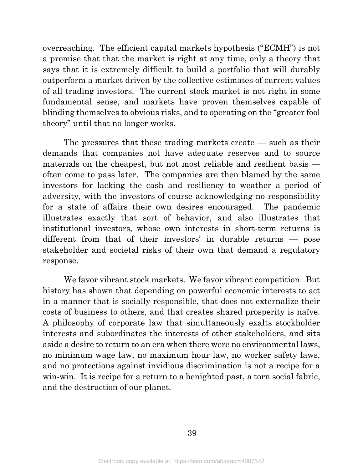overreaching. The efficient capital markets hypothesis ("ECMH") is not a promise that that the market is right at any time, only a theory that says that it is extremely difficult to build a portfolio that will durably outperform a market driven by the collective estimates of current values of all trading investors. The current stock market is not right in some fundamental sense, and markets have proven themselves capable of blinding themselves to obvious risks, and to operating on the "greater fool theory" until that no longer works.

The pressures that these trading markets create — such as their demands that companies not have adequate reserves and to source materials on the cheapest, but not most reliable and resilient basis often come to pass later. The companies are then blamed by the same investors for lacking the cash and resiliency to weather a period of adversity, with the investors of course acknowledging no responsibility for a state of affairs their own desires encouraged. The pandemic illustrates exactly that sort of behavior, and also illustrates that institutional investors, whose own interests in short-term returns is different from that of their investors' in durable returns — pose stakeholder and societal risks of their own that demand a regulatory response.

We favor vibrant stock markets. We favor vibrant competition. But history has shown that depending on powerful economic interests to act in a manner that is socially responsible, that does not externalize their costs of business to others, and that creates shared prosperity is naïve. A philosophy of corporate law that simultaneously exalts stockholder interests and subordinates the interests of other stakeholders, and sits aside a desire to return to an era when there were no environmental laws, no minimum wage law, no maximum hour law, no worker safety laws, and no protections against invidious discrimination is not a recipe for a win-win. It is recipe for a return to a benighted past, a torn social fabric, and the destruction of our planet.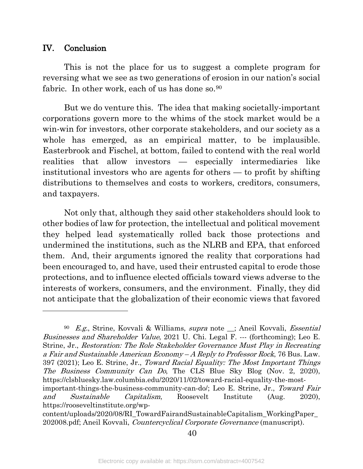#### IV. Conclusion

l

This is not the place for us to suggest a complete program for reversing what we see as two generations of erosion in our nation's social fabric. In other work, each of us has done so.<sup>[90](#page-42-0)</sup>

But we do venture this. The idea that making societally-important corporations govern more to the whims of the stock market would be a win-win for investors, other corporate stakeholders, and our society as a whole has emerged, as an empirical matter, to be implausible. Easterbrook and Fischel, at bottom, failed to contend with the real world realities that allow investors — especially intermediaries like institutional investors who are agents for others — to profit by shifting distributions to themselves and costs to workers, creditors, consumers, and taxpayers.

Not only that, although they said other stakeholders should look to other bodies of law for protection, the intellectual and political movement they helped lead systematically rolled back those protections and undermined the institutions, such as the NLRB and EPA, that enforced them. And, their arguments ignored the reality that corporations had been encouraged to, and have, used their entrusted capital to erode those protections, and to influence elected officials toward views adverse to the interests of workers, consumers, and the environment. Finally, they did not anticipate that the globalization of their economic views that favored

<span id="page-42-0"></span><sup>90</sup> E.g., Strine, Kovvali & Williams, supra note \_\_; Aneil Kovvali, Essential Businesses and Shareholder Value, 2021 U. Chi. Legal F. --- (forthcoming); Leo E. Strine, Jr., Restoration: The Role Stakeholder Governance Must Play in Recreating a Fair and Sustainable American Economy – A Reply to Professor Rock, 76 Bus. Law. 397 (2021); Leo E. Strine, Jr., Toward Racial Equality: The Most Important Things The Business Community Can Do, The CLS Blue Sky Blog (Nov. 2, 2020), https://clsbluesky.law.columbia.edu/2020/11/02/toward-racial-equality-the-mostimportant-things-the-business-community-can-do/; Leo E. Strine, Jr., Toward Fair and Sustainable Capitalism, Roosevelt Institute (Aug. 2020), https://rooseveltinstitute.org/wp-

content/uploads/2020/08/RI\_TowardFairandSustainableCapitalism\_WorkingPaper\_ 202008.pdf; Aneil Kovvali, Countercyclical Corporate Governance (manuscript).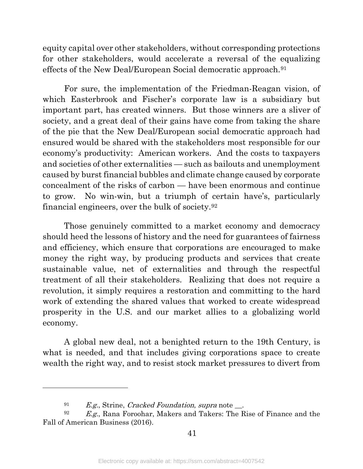equity capital over other stakeholders, without corresponding protections for other stakeholders, would accelerate a reversal of the equalizing effects of the New Deal/European Social democratic approach.[91](#page-43-0)

For sure, the implementation of the Friedman-Reagan vision, of which Easterbrook and Fischer's corporate law is a subsidiary but important part, has created winners. But those winners are a sliver of society, and a great deal of their gains have come from taking the share of the pie that the New Deal/European social democratic approach had ensured would be shared with the stakeholders most responsible for our economy's productivity: American workers. And the costs to taxpayers and societies of other externalities — such as bailouts and unemployment caused by burst financial bubbles and climate change caused by corporate concealment of the risks of carbon — have been enormous and continue to grow. No win-win, but a triumph of certain have's, particularly financial engineers, over the bulk of society.[92](#page-43-1)

Those genuinely committed to a market economy and democracy should heed the lessons of history and the need for guarantees of fairness and efficiency, which ensure that corporations are encouraged to make money the right way, by producing products and services that create sustainable value, net of externalities and through the respectful treatment of all their stakeholders. Realizing that does not require a revolution, it simply requires a restoration and committing to the hard work of extending the shared values that worked to create widespread prosperity in the U.S. and our market allies to a globalizing world economy.

A global new deal, not a benighted return to the 19th Century, is what is needed, and that includes giving corporations space to create wealth the right way, and to resist stock market pressures to divert from

 $^{91}$  E.g., Strine, Cracked Foundation, supra note \_\_.

<span id="page-43-1"></span><span id="page-43-0"></span> $E.g.,$  Rana Foroohar, Makers and Takers: The Rise of Finance and the Fall of American Business (2016).